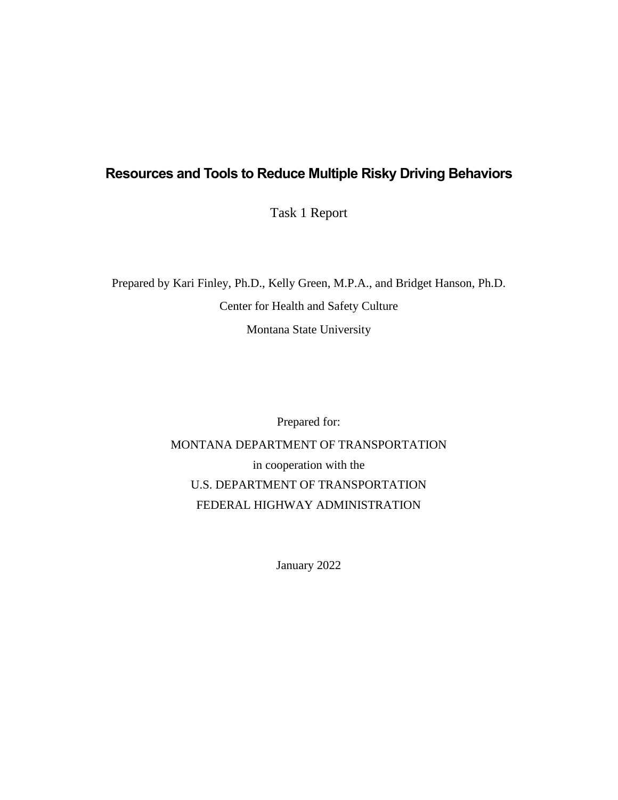### **Resources and Tools to Reduce Multiple Risky Driving Behaviors**

Task 1 Report

Prepared by Kari Finley, Ph.D., Kelly Green, M.P.A., and Bridget Hanson, Ph.D. Center for Health and Safety Culture Montana State University

Prepared for:

MONTANA DEPARTMENT OF TRANSPORTATION in cooperation with the U.S. DEPARTMENT OF TRANSPORTATION FEDERAL HIGHWAY ADMINISTRATION

January 2022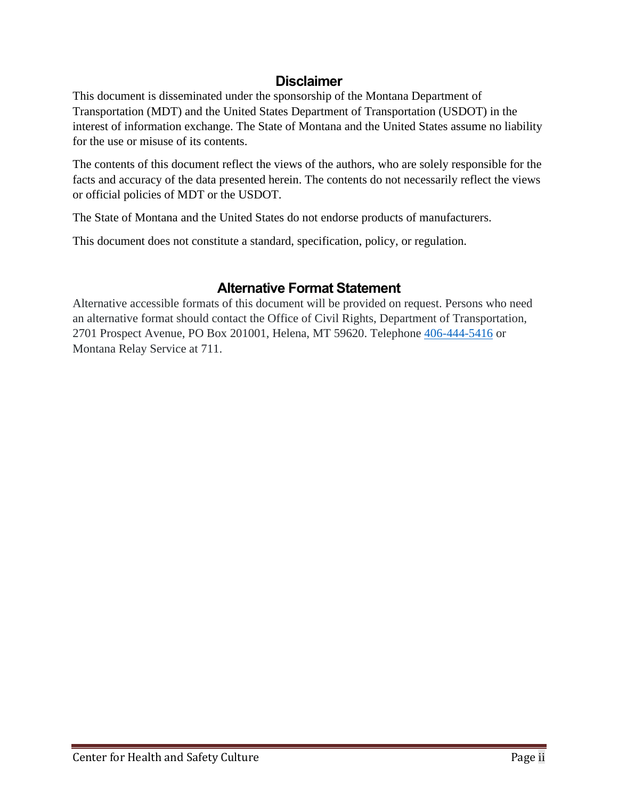### **Disclaimer**

This document is disseminated under the sponsorship of the Montana Department of Transportation (MDT) and the United States Department of Transportation (USDOT) in the interest of information exchange. The State of Montana and the United States assume no liability for the use or misuse of its contents.

The contents of this document reflect the views of the authors, who are solely responsible for the facts and accuracy of the data presented herein. The contents do not necessarily reflect the views or official policies of MDT or the USDOT.

The State of Montana and the United States do not endorse products of manufacturers.

This document does not constitute a standard, specification, policy, or regulation.

# **Alternative Format Statement**

Alternative accessible formats of this document will be provided on request. Persons who need an alternative format should contact the Office of Civil Rights, Department of Transportation, 2701 Prospect Avenue, PO Box 201001, Helena, MT 59620. Telephone [406-444-5416](tel:+14064445416) or Montana Relay Service at 711.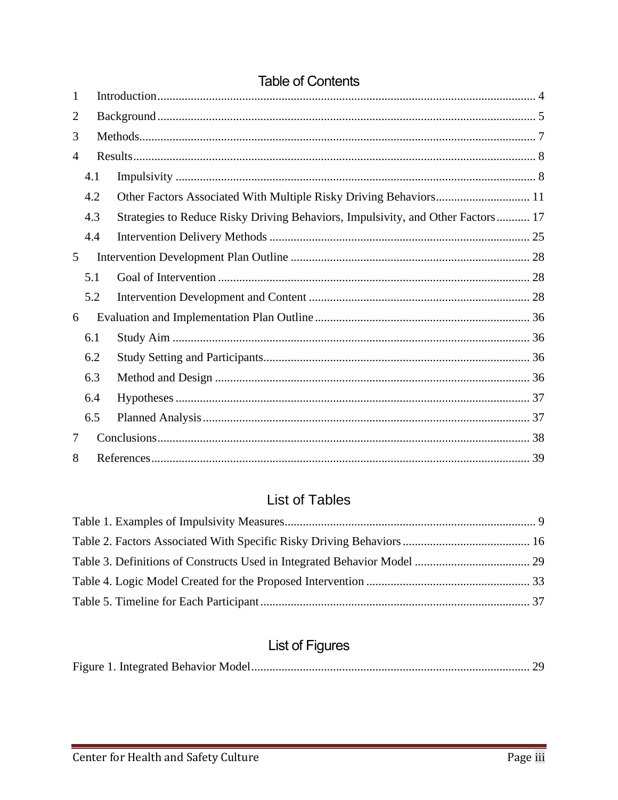| 1              |     |                                                                                 |
|----------------|-----|---------------------------------------------------------------------------------|
| 2              |     |                                                                                 |
| 3              |     |                                                                                 |
| $\overline{4}$ |     |                                                                                 |
|                | 4.1 |                                                                                 |
|                | 4.2 |                                                                                 |
|                | 4.3 | Strategies to Reduce Risky Driving Behaviors, Impulsivity, and Other Factors 17 |
|                | 4.4 |                                                                                 |
| 5              |     |                                                                                 |
|                | 5.1 |                                                                                 |
|                | 5.2 |                                                                                 |
| 6              |     |                                                                                 |
|                | 6.1 |                                                                                 |
|                | 6.2 |                                                                                 |
|                | 6.3 |                                                                                 |
|                | 6.4 |                                                                                 |
|                | 6.5 |                                                                                 |
| 7              |     |                                                                                 |
| 8              |     |                                                                                 |

# **Table of Contents**

# **List of Tables**

# **List of Figures**

|--|--|--|--|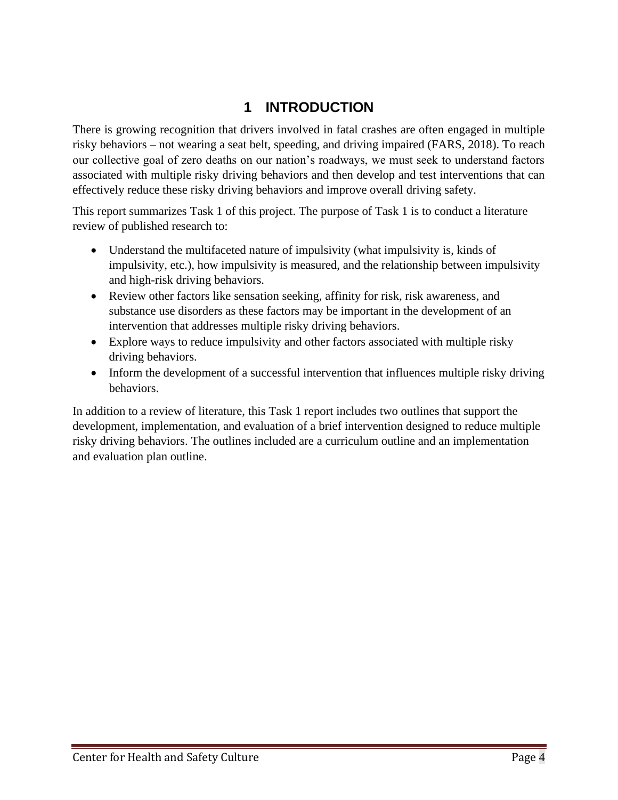# **1 INTRODUCTION**

<span id="page-3-0"></span>There is growing recognition that drivers involved in fatal crashes are often engaged in multiple risky behaviors – not wearing a seat belt, speeding, and driving impaired (FARS, 2018). To reach our collective goal of zero deaths on our nation's roadways, we must seek to understand factors associated with multiple risky driving behaviors and then develop and test interventions that can effectively reduce these risky driving behaviors and improve overall driving safety.

This report summarizes Task 1 of this project. The purpose of Task 1 is to conduct a literature review of published research to:

- Understand the multifaceted nature of impulsivity (what impulsivity is, kinds of impulsivity, etc.), how impulsivity is measured, and the relationship between impulsivity and high-risk driving behaviors.
- Review other factors like sensation seeking, affinity for risk, risk awareness, and substance use disorders as these factors may be important in the development of an intervention that addresses multiple risky driving behaviors.
- Explore ways to reduce impulsivity and other factors associated with multiple risky driving behaviors.
- Inform the development of a successful intervention that influences multiple risky driving behaviors.

In addition to a review of literature, this Task 1 report includes two outlines that support the development, implementation, and evaluation of a brief intervention designed to reduce multiple risky driving behaviors. The outlines included are a curriculum outline and an implementation and evaluation plan outline.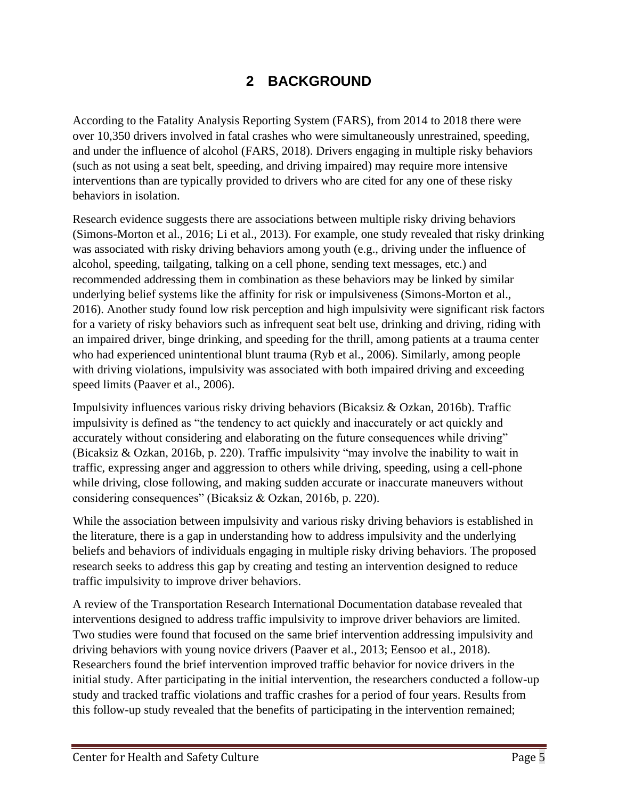# **2 BACKGROUND**

<span id="page-4-0"></span>According to the Fatality Analysis Reporting System (FARS), from 2014 to 2018 there were over 10,350 drivers involved in fatal crashes who were simultaneously unrestrained, speeding, and under the influence of alcohol (FARS, 2018). Drivers engaging in multiple risky behaviors (such as not using a seat belt, speeding, and driving impaired) may require more intensive interventions than are typically provided to drivers who are cited for any one of these risky behaviors in isolation.

Research evidence suggests there are associations between multiple risky driving behaviors (Simons-Morton et al., 2016; Li et al., 2013). For example, one study revealed that risky drinking was associated with risky driving behaviors among youth (e.g., driving under the influence of alcohol, speeding, tailgating, talking on a cell phone, sending text messages, etc.) and recommended addressing them in combination as these behaviors may be linked by similar underlying belief systems like the affinity for risk or impulsiveness (Simons-Morton et al., 2016). Another study found low risk perception and high impulsivity were significant risk factors for a variety of risky behaviors such as infrequent seat belt use, drinking and driving, riding with an impaired driver, binge drinking, and speeding for the thrill, among patients at a trauma center who had experienced unintentional blunt trauma (Ryb et al., 2006). Similarly, among people with driving violations, impulsivity was associated with both impaired driving and exceeding speed limits (Paaver et al., 2006).

Impulsivity influences various risky driving behaviors (Bicaksiz & Ozkan, 2016b). Traffic impulsivity is defined as "the tendency to act quickly and inaccurately or act quickly and accurately without considering and elaborating on the future consequences while driving" (Bicaksiz & Ozkan, 2016b, p. 220). Traffic impulsivity "may involve the inability to wait in traffic, expressing anger and aggression to others while driving, speeding, using a cell-phone while driving, close following, and making sudden accurate or inaccurate maneuvers without considering consequences" (Bicaksiz & Ozkan, 2016b, p. 220).

While the association between impulsivity and various risky driving behaviors is established in the literature, there is a gap in understanding how to address impulsivity and the underlying beliefs and behaviors of individuals engaging in multiple risky driving behaviors. The proposed research seeks to address this gap by creating and testing an intervention designed to reduce traffic impulsivity to improve driver behaviors.

A review of the Transportation Research International Documentation database revealed that interventions designed to address traffic impulsivity to improve driver behaviors are limited. Two studies were found that focused on the same brief intervention addressing impulsivity and driving behaviors with young novice drivers (Paaver et al., 2013; Eensoo et al., 2018). Researchers found the brief intervention improved traffic behavior for novice drivers in the initial study. After participating in the initial intervention, the researchers conducted a follow-up study and tracked traffic violations and traffic crashes for a period of four years. Results from this follow-up study revealed that the benefits of participating in the intervention remained;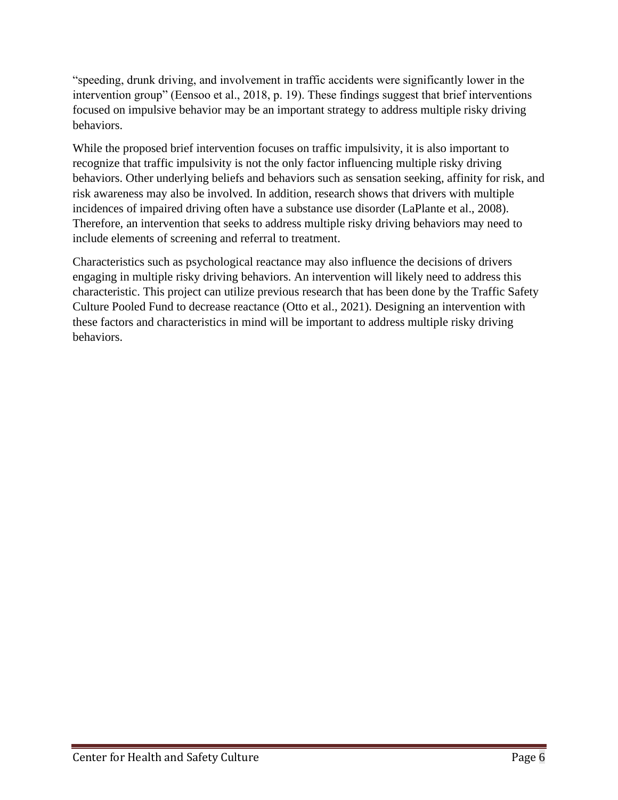"speeding, drunk driving, and involvement in traffic accidents were significantly lower in the intervention group" (Eensoo et al., 2018, p. 19). These findings suggest that brief interventions focused on impulsive behavior may be an important strategy to address multiple risky driving behaviors.

While the proposed brief intervention focuses on traffic impulsivity, it is also important to recognize that traffic impulsivity is not the only factor influencing multiple risky driving behaviors. Other underlying beliefs and behaviors such as sensation seeking, affinity for risk, and risk awareness may also be involved. In addition, research shows that drivers with multiple incidences of impaired driving often have a substance use disorder (LaPlante et al., 2008). Therefore, an intervention that seeks to address multiple risky driving behaviors may need to include elements of screening and referral to treatment.

Characteristics such as psychological reactance may also influence the decisions of drivers engaging in multiple risky driving behaviors. An intervention will likely need to address this characteristic. This project can utilize previous research that has been done by the Traffic Safety Culture Pooled Fund to decrease reactance (Otto et al., 2021). Designing an intervention with these factors and characteristics in mind will be important to address multiple risky driving behaviors.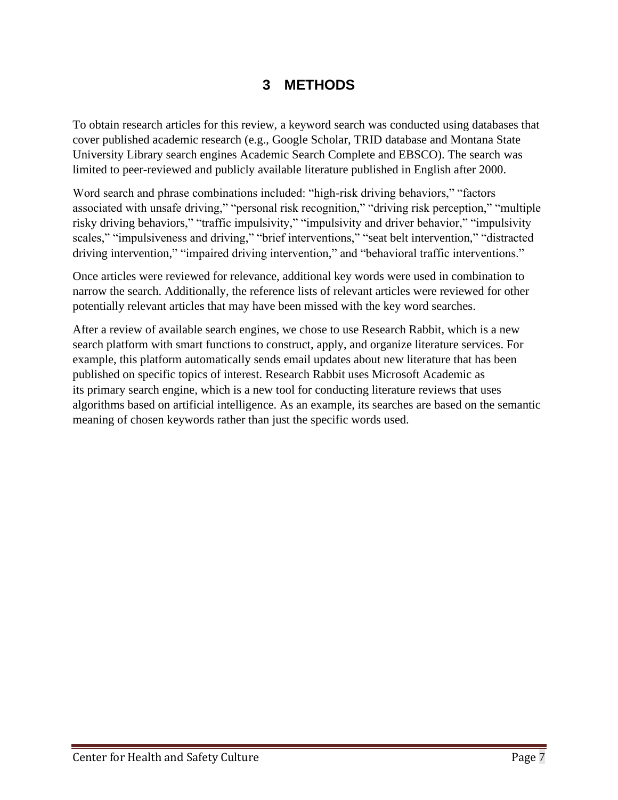# **3 METHODS**

<span id="page-6-0"></span>To obtain research articles for this review, a keyword search was conducted using databases that cover published academic research (e.g., Google Scholar, TRID database and Montana State University Library search engines Academic Search Complete and EBSCO). The search was limited to peer-reviewed and publicly available literature published in English after 2000.

Word search and phrase combinations included: "high-risk driving behaviors," "factors associated with unsafe driving," "personal risk recognition," "driving risk perception," "multiple risky driving behaviors," "traffic impulsivity," "impulsivity and driver behavior," "impulsivity scales," "impulsiveness and driving," "brief interventions," "seat belt intervention," "distracted driving intervention," "impaired driving intervention," and "behavioral traffic interventions."

Once articles were reviewed for relevance, additional key words were used in combination to narrow the search. Additionally, the reference lists of relevant articles were reviewed for other potentially relevant articles that may have been missed with the key word searches.

After a review of available search engines, we chose to use Research Rabbit, which is a new search platform with smart functions to construct, apply, and organize literature services. For example, this platform automatically sends email updates about new literature that has been published on specific topics of interest. Research Rabbit uses Microsoft Academic as its primary search engine, which is a new tool for conducting literature reviews that uses algorithms based on artificial intelligence. As an example, its searches are based on the semantic meaning of chosen keywords rather than just the specific words used.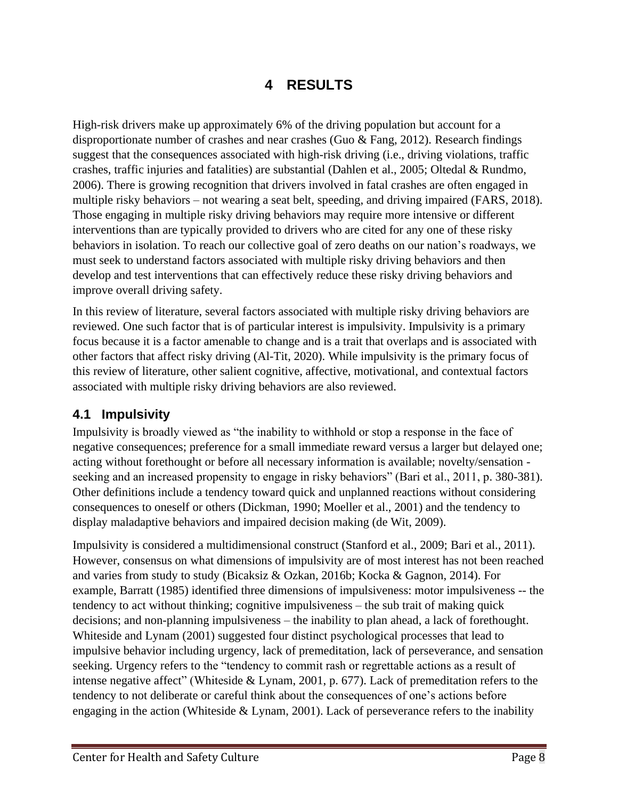# **4 RESULTS**

<span id="page-7-0"></span>High-risk drivers make up approximately 6% of the driving population but account for a disproportionate number of crashes and near crashes (Guo & Fang, 2012). Research findings suggest that the consequences associated with high-risk driving (i.e., driving violations, traffic crashes, traffic injuries and fatalities) are substantial (Dahlen et al., 2005; Oltedal & Rundmo, 2006). There is growing recognition that drivers involved in fatal crashes are often engaged in multiple risky behaviors – not wearing a seat belt, speeding, and driving impaired (FARS, 2018). Those engaging in multiple risky driving behaviors may require more intensive or different interventions than are typically provided to drivers who are cited for any one of these risky behaviors in isolation. To reach our collective goal of zero deaths on our nation's roadways, we must seek to understand factors associated with multiple risky driving behaviors and then develop and test interventions that can effectively reduce these risky driving behaviors and improve overall driving safety.

In this review of literature, several factors associated with multiple risky driving behaviors are reviewed. One such factor that is of particular interest is impulsivity. Impulsivity is a primary focus because it is a factor amenable to change and is a trait that overlaps and is associated with other factors that affect risky driving (Al-Tit, 2020). While impulsivity is the primary focus of this review of literature, other salient cognitive, affective, motivational, and contextual factors associated with multiple risky driving behaviors are also reviewed.

#### <span id="page-7-1"></span>**4.1 Impulsivity**

Impulsivity is broadly viewed as "the inability to withhold or stop a response in the face of negative consequences; preference for a small immediate reward versus a larger but delayed one; acting without forethought or before all necessary information is available; novelty/sensation seeking and an increased propensity to engage in risky behaviors" (Bari et al., 2011, p. 380-381). Other definitions include a tendency toward quick and unplanned reactions without considering consequences to oneself or others (Dickman, 1990; Moeller et al., 2001) and the tendency to display maladaptive behaviors and impaired decision making (de Wit, 2009).

Impulsivity is considered a multidimensional construct (Stanford et al., 2009; Bari et al., 2011). However, consensus on what dimensions of impulsivity are of most interest has not been reached and varies from study to study (Bicaksiz & Ozkan, 2016b; Kocka & Gagnon, 2014). For example, Barratt (1985) identified three dimensions of impulsiveness: motor impulsiveness -- the tendency to act without thinking; cognitive impulsiveness – the sub trait of making quick decisions; and non-planning impulsiveness – the inability to plan ahead, a lack of forethought. Whiteside and Lynam (2001) suggested four distinct psychological processes that lead to impulsive behavior including urgency, lack of premeditation, lack of perseverance, and sensation seeking. Urgency refers to the "tendency to commit rash or regrettable actions as a result of intense negative affect" (Whiteside & Lynam, 2001, p. 677). Lack of premeditation refers to the tendency to not deliberate or careful think about the consequences of one's actions before engaging in the action (Whiteside & Lynam, 2001). Lack of perseverance refers to the inability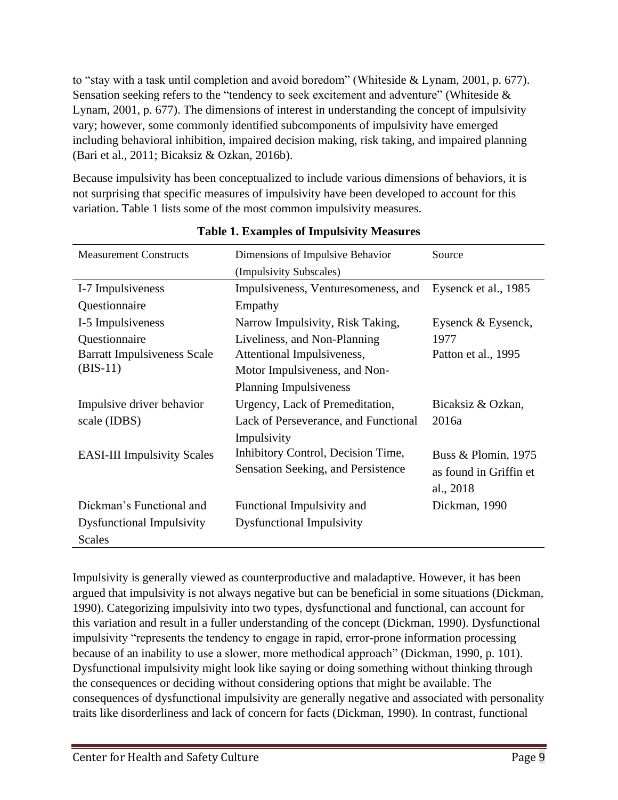to "stay with a task until completion and avoid boredom" (Whiteside & Lynam, 2001, p. 677). Sensation seeking refers to the "tendency to seek excitement and adventure" (Whiteside & Lynam, 2001, p. 677). The dimensions of interest in understanding the concept of impulsivity vary; however, some commonly identified subcomponents of impulsivity have emerged including behavioral inhibition, impaired decision making, risk taking, and impaired planning (Bari et al., 2011; Bicaksiz & Ozkan, 2016b).

Because impulsivity has been conceptualized to include various dimensions of behaviors, it is not surprising that specific measures of impulsivity have been developed to account for this variation. Table 1 lists some of the most common impulsivity measures.

<span id="page-8-0"></span>

| <b>Measurement Constructs</b>                                     | Dimensions of Impulsive Behavior                                                                                             | Source                                                     |  |
|-------------------------------------------------------------------|------------------------------------------------------------------------------------------------------------------------------|------------------------------------------------------------|--|
|                                                                   | (Impulsivity Subscales)                                                                                                      |                                                            |  |
| I-7 Impulsiveness                                                 | Impulsiveness, Venturesomeness, and                                                                                          | Eysenck et al., 1985                                       |  |
| Questionnaire                                                     | Empathy                                                                                                                      |                                                            |  |
| I-5 Impulsiveness                                                 | Narrow Impulsivity, Risk Taking,                                                                                             | Eysenck & Eysenck,                                         |  |
| Questionnaire<br><b>Barratt Impulsiveness Scale</b><br>$(BIS-11)$ | Liveliness, and Non-Planning<br>Attentional Impulsiveness,<br>Motor Impulsiveness, and Non-<br><b>Planning Impulsiveness</b> | 1977<br>Patton et al., 1995                                |  |
| Impulsive driver behavior<br>scale (IDBS)                         | Urgency, Lack of Premeditation,<br>Lack of Perseverance, and Functional<br>Impulsivity                                       | Bicaksiz & Ozkan,<br>2016a                                 |  |
| <b>EASI-III Impulsivity Scales</b>                                | Inhibitory Control, Decision Time,<br>Sensation Seeking, and Persistence                                                     | Buss & Plomin, 1975<br>as found in Griffin et<br>al., 2018 |  |
| Dickman's Functional and                                          | Functional Impulsivity and                                                                                                   | Dickman, 1990                                              |  |
| <b>Dysfunctional Impulsivity</b>                                  | <b>Dysfunctional Impulsivity</b>                                                                                             |                                                            |  |
| <b>Scales</b>                                                     |                                                                                                                              |                                                            |  |

**Table 1. Examples of Impulsivity Measures**

Impulsivity is generally viewed as counterproductive and maladaptive. However, it has been argued that impulsivity is not always negative but can be beneficial in some situations (Dickman, 1990). Categorizing impulsivity into two types, dysfunctional and functional, can account for this variation and result in a fuller understanding of the concept (Dickman, 1990). Dysfunctional impulsivity "represents the tendency to engage in rapid, error-prone information processing because of an inability to use a slower, more methodical approach" (Dickman, 1990, p. 101). Dysfunctional impulsivity might look like saying or doing something without thinking through the consequences or deciding without considering options that might be available. The consequences of dysfunctional impulsivity are generally negative and associated with personality traits like disorderliness and lack of concern for facts (Dickman, 1990). In contrast, functional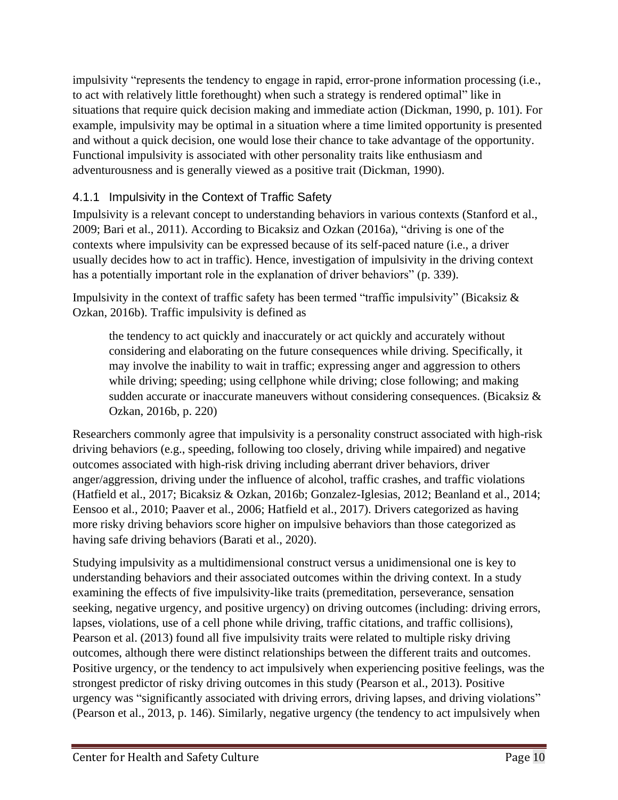impulsivity "represents the tendency to engage in rapid, error-prone information processing (i.e., to act with relatively little forethought) when such a strategy is rendered optimal" like in situations that require quick decision making and immediate action (Dickman, 1990, p. 101). For example, impulsivity may be optimal in a situation where a time limited opportunity is presented and without a quick decision, one would lose their chance to take advantage of the opportunity. Functional impulsivity is associated with other personality traits like enthusiasm and adventurousness and is generally viewed as a positive trait (Dickman, 1990).

### 4.1.1 Impulsivity in the Context of Traffic Safety

Impulsivity is a relevant concept to understanding behaviors in various contexts (Stanford et al., 2009; Bari et al., 2011). According to Bicaksiz and Ozkan (2016a), "driving is one of the contexts where impulsivity can be expressed because of its self-paced nature (i.e., a driver usually decides how to act in traffic). Hence, investigation of impulsivity in the driving context has a potentially important role in the explanation of driver behaviors" (p. 339).

Impulsivity in the context of traffic safety has been termed "traffic impulsivity" (Bicaksiz & Ozkan, 2016b). Traffic impulsivity is defined as

the tendency to act quickly and inaccurately or act quickly and accurately without considering and elaborating on the future consequences while driving. Specifically, it may involve the inability to wait in traffic; expressing anger and aggression to others while driving; speeding; using cellphone while driving; close following; and making sudden accurate or inaccurate maneuvers without considering consequences. (Bicaksiz & Ozkan, 2016b, p. 220)

Researchers commonly agree that impulsivity is a personality construct associated with high-risk driving behaviors (e.g., speeding, following too closely, driving while impaired) and negative outcomes associated with high-risk driving including aberrant driver behaviors, driver anger/aggression, driving under the influence of alcohol, traffic crashes, and traffic violations (Hatfield et al., 2017; Bicaksiz & Ozkan, 2016b; Gonzalez-Iglesias, 2012; Beanland et al., 2014; Eensoo et al., 2010; Paaver et al., 2006; Hatfield et al., 2017). Drivers categorized as having more risky driving behaviors score higher on impulsive behaviors than those categorized as having safe driving behaviors (Barati et al., 2020).

Studying impulsivity as a multidimensional construct versus a unidimensional one is key to understanding behaviors and their associated outcomes within the driving context. In a study examining the effects of five impulsivity-like traits (premeditation, perseverance, sensation seeking, negative urgency, and positive urgency) on driving outcomes (including: driving errors, lapses, violations, use of a cell phone while driving, traffic citations, and traffic collisions), Pearson et al. (2013) found all five impulsivity traits were related to multiple risky driving outcomes, although there were distinct relationships between the different traits and outcomes. Positive urgency, or the tendency to act impulsively when experiencing positive feelings, was the strongest predictor of risky driving outcomes in this study (Pearson et al., 2013). Positive urgency was "significantly associated with driving errors, driving lapses, and driving violations" (Pearson et al., 2013, p. 146). Similarly, negative urgency (the tendency to act impulsively when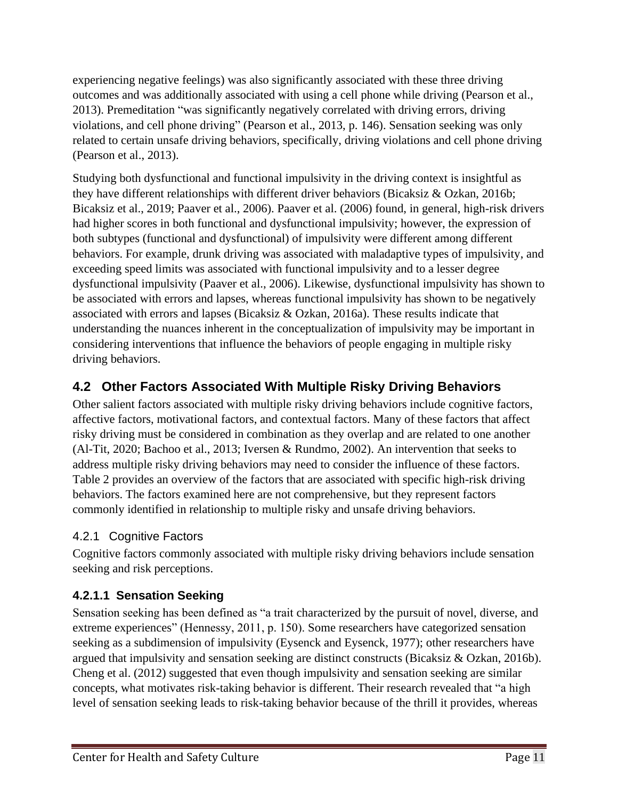experiencing negative feelings) was also significantly associated with these three driving outcomes and was additionally associated with using a cell phone while driving (Pearson et al., 2013). Premeditation "was significantly negatively correlated with driving errors, driving violations, and cell phone driving" (Pearson et al., 2013, p. 146). Sensation seeking was only related to certain unsafe driving behaviors, specifically, driving violations and cell phone driving (Pearson et al., 2013).

Studying both dysfunctional and functional impulsivity in the driving context is insightful as they have different relationships with different driver behaviors (Bicaksiz & Ozkan, 2016b; Bicaksiz et al., 2019; Paaver et al., 2006). Paaver et al. (2006) found, in general, high-risk drivers had higher scores in both functional and dysfunctional impulsivity; however, the expression of both subtypes (functional and dysfunctional) of impulsivity were different among different behaviors. For example, drunk driving was associated with maladaptive types of impulsivity, and exceeding speed limits was associated with functional impulsivity and to a lesser degree dysfunctional impulsivity (Paaver et al., 2006). Likewise, dysfunctional impulsivity has shown to be associated with errors and lapses, whereas functional impulsivity has shown to be negatively associated with errors and lapses (Bicaksiz & Ozkan, 2016a). These results indicate that understanding the nuances inherent in the conceptualization of impulsivity may be important in considering interventions that influence the behaviors of people engaging in multiple risky driving behaviors.

# <span id="page-10-0"></span>**4.2 Other Factors Associated With Multiple Risky Driving Behaviors**

Other salient factors associated with multiple risky driving behaviors include cognitive factors, affective factors, motivational factors, and contextual factors. Many of these factors that affect risky driving must be considered in combination as they overlap and are related to one another (Al-Tit, 2020; Bachoo et al., 2013; Iversen & Rundmo, 2002). An intervention that seeks to address multiple risky driving behaviors may need to consider the influence of these factors. Table 2 provides an overview of the factors that are associated with specific high-risk driving behaviors. The factors examined here are not comprehensive, but they represent factors commonly identified in relationship to multiple risky and unsafe driving behaviors.

## 4.2.1 Cognitive Factors

Cognitive factors commonly associated with multiple risky driving behaviors include sensation seeking and risk perceptions.

## **4.2.1.1 Sensation Seeking**

Sensation seeking has been defined as "a trait characterized by the pursuit of novel, diverse, and extreme experiences" (Hennessy, 2011, p. 150). Some researchers have categorized sensation seeking as a subdimension of impulsivity (Eysenck and Eysenck, 1977); other researchers have argued that impulsivity and sensation seeking are distinct constructs (Bicaksiz & Ozkan, 2016b). Cheng et al. (2012) suggested that even though impulsivity and sensation seeking are similar concepts, what motivates risk-taking behavior is different. Their research revealed that "a high level of sensation seeking leads to risk-taking behavior because of the thrill it provides, whereas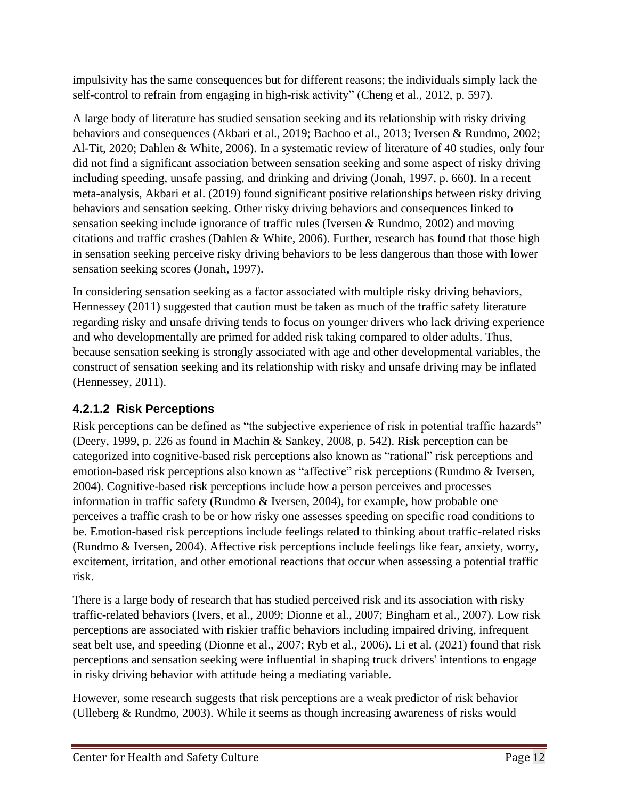impulsivity has the same consequences but for different reasons; the individuals simply lack the self-control to refrain from engaging in high-risk activity" (Cheng et al., 2012, p. 597).

A large body of literature has studied sensation seeking and its relationship with risky driving behaviors and consequences (Akbari et al., 2019; Bachoo et al., 2013; Iversen & Rundmo, 2002; Al-Tit, 2020; Dahlen & White, 2006). In a systematic review of literature of 40 studies, only four did not find a significant association between sensation seeking and some aspect of risky driving including speeding, unsafe passing, and drinking and driving (Jonah, 1997, p. 660). In a recent meta-analysis, Akbari et al. (2019) found significant positive relationships between risky driving behaviors and sensation seeking. Other risky driving behaviors and consequences linked to sensation seeking include ignorance of traffic rules (Iversen & Rundmo, 2002) and moving citations and traffic crashes (Dahlen & White, 2006). Further, research has found that those high in sensation seeking perceive risky driving behaviors to be less dangerous than those with lower sensation seeking scores (Jonah, 1997).

In considering sensation seeking as a factor associated with multiple risky driving behaviors, Hennessey (2011) suggested that caution must be taken as much of the traffic safety literature regarding risky and unsafe driving tends to focus on younger drivers who lack driving experience and who developmentally are primed for added risk taking compared to older adults. Thus, because sensation seeking is strongly associated with age and other developmental variables, the construct of sensation seeking and its relationship with risky and unsafe driving may be inflated (Hennessey, 2011).

## **4.2.1.2 Risk Perceptions**

Risk perceptions can be defined as "the subjective experience of risk in potential traffic hazards" (Deery, 1999, p. 226 as found in Machin & Sankey, 2008, p. 542). Risk perception can be categorized into cognitive-based risk perceptions also known as "rational" risk perceptions and emotion-based risk perceptions also known as "affective" risk perceptions (Rundmo & Iversen, 2004). Cognitive-based risk perceptions include how a person perceives and processes information in traffic safety (Rundmo & Iversen, 2004), for example, how probable one perceives a traffic crash to be or how risky one assesses speeding on specific road conditions to be. Emotion-based risk perceptions include feelings related to thinking about traffic-related risks (Rundmo & Iversen, 2004). Affective risk perceptions include feelings like fear, anxiety, worry, excitement, irritation, and other emotional reactions that occur when assessing a potential traffic risk.

There is a large body of research that has studied perceived risk and its association with risky traffic-related behaviors (Ivers, et al., 2009; Dionne et al., 2007; Bingham et al., 2007). Low risk perceptions are associated with riskier traffic behaviors including impaired driving, infrequent seat belt use, and speeding (Dionne et al., 2007; Ryb et al., 2006). Li et al. (2021) found that risk perceptions and sensation seeking were influential in shaping truck drivers' intentions to engage in risky driving behavior with attitude being a mediating variable.

However, some research suggests that risk perceptions are a weak predictor of risk behavior (Ulleberg & Rundmo, 2003). While it seems as though increasing awareness of risks would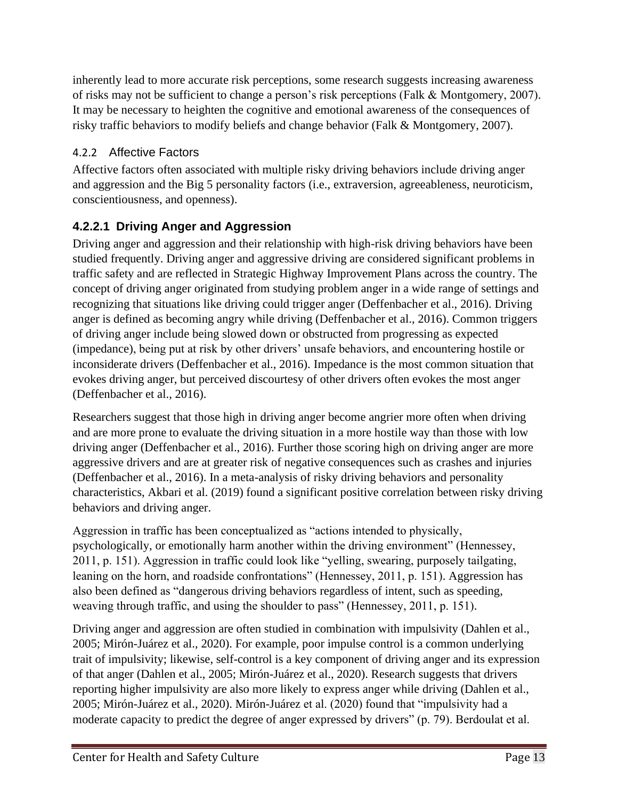inherently lead to more accurate risk perceptions, some research suggests increasing awareness of risks may not be sufficient to change a person's risk perceptions (Falk & Montgomery, 2007). It may be necessary to heighten the cognitive and emotional awareness of the consequences of risky traffic behaviors to modify beliefs and change behavior (Falk & Montgomery, 2007).

### 4.2.2 Affective Factors

Affective factors often associated with multiple risky driving behaviors include driving anger and aggression and the Big 5 personality factors (i.e., extraversion, agreeableness, neuroticism, conscientiousness, and openness).

# **4.2.2.1 Driving Anger and Aggression**

Driving anger and aggression and their relationship with high-risk driving behaviors have been studied frequently. Driving anger and aggressive driving are considered significant problems in traffic safety and are reflected in Strategic Highway Improvement Plans across the country. The concept of driving anger originated from studying problem anger in a wide range of settings and recognizing that situations like driving could trigger anger (Deffenbacher et al., 2016). Driving anger is defined as becoming angry while driving (Deffenbacher et al., 2016). Common triggers of driving anger include being slowed down or obstructed from progressing as expected (impedance), being put at risk by other drivers' unsafe behaviors, and encountering hostile or inconsiderate drivers (Deffenbacher et al., 2016). Impedance is the most common situation that evokes driving anger, but perceived discourtesy of other drivers often evokes the most anger (Deffenbacher et al., 2016).

Researchers suggest that those high in driving anger become angrier more often when driving and are more prone to evaluate the driving situation in a more hostile way than those with low driving anger (Deffenbacher et al., 2016). Further those scoring high on driving anger are more aggressive drivers and are at greater risk of negative consequences such as crashes and injuries (Deffenbacher et al., 2016). In a meta-analysis of risky driving behaviors and personality characteristics, Akbari et al. (2019) found a significant positive correlation between risky driving behaviors and driving anger.

Aggression in traffic has been conceptualized as "actions intended to physically, psychologically, or emotionally harm another within the driving environment" (Hennessey, 2011, p. 151). Aggression in traffic could look like "yelling, swearing, purposely tailgating, leaning on the horn, and roadside confrontations" (Hennessey, 2011, p. 151). Aggression has also been defined as "dangerous driving behaviors regardless of intent, such as speeding, weaving through traffic, and using the shoulder to pass" (Hennessey, 2011, p. 151).

Driving anger and aggression are often studied in combination with impulsivity (Dahlen et al., 2005; Mirón-Juárez et al., 2020). For example, poor impulse control is a common underlying trait of impulsivity; likewise, self-control is a key component of driving anger and its expression of that anger (Dahlen et al., 2005; Mirón-Juárez et al., 2020). Research suggests that drivers reporting higher impulsivity are also more likely to express anger while driving (Dahlen et al., 2005; Mirón-Juárez et al., 2020). Mirón-Juárez et al. (2020) found that "impulsivity had a moderate capacity to predict the degree of anger expressed by drivers" (p. 79). Berdoulat et al.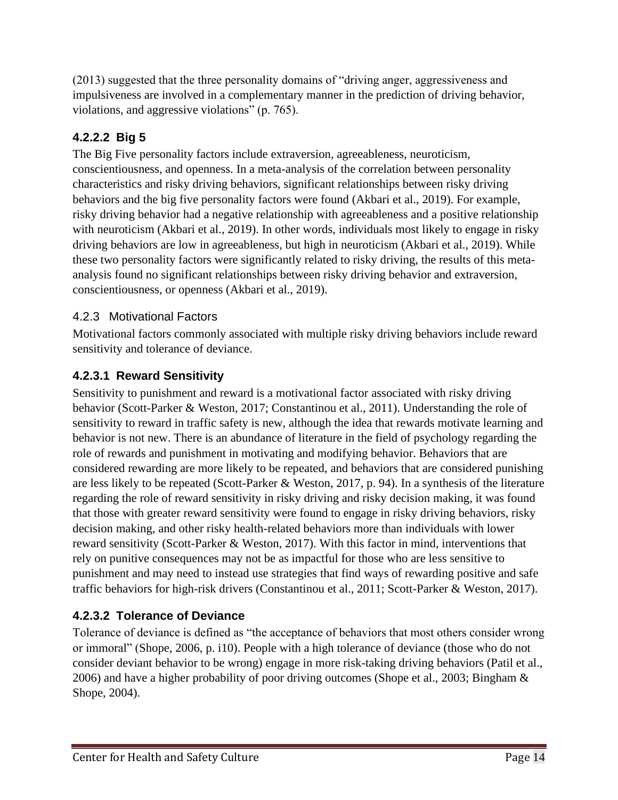(2013) suggested that the three personality domains of "driving anger, aggressiveness and impulsiveness are involved in a complementary manner in the prediction of driving behavior, violations, and aggressive violations" (p. 765).

# **4.2.2.2 Big 5**

The Big Five personality factors include extraversion, agreeableness, neuroticism, conscientiousness, and openness. In a meta-analysis of the correlation between personality characteristics and risky driving behaviors, significant relationships between risky driving behaviors and the big five personality factors were found (Akbari et al., 2019). For example, risky driving behavior had a negative relationship with agreeableness and a positive relationship with neuroticism (Akbari et al., 2019). In other words, individuals most likely to engage in risky driving behaviors are low in agreeableness, but high in neuroticism (Akbari et al., 2019). While these two personality factors were significantly related to risky driving, the results of this metaanalysis found no significant relationships between risky driving behavior and extraversion, conscientiousness, or openness (Akbari et al., 2019).

#### 4.2.3 Motivational Factors

Motivational factors commonly associated with multiple risky driving behaviors include reward sensitivity and tolerance of deviance.

### **4.2.3.1 Reward Sensitivity**

Sensitivity to punishment and reward is a motivational factor associated with risky driving behavior (Scott-Parker & Weston, 2017; Constantinou et al., 2011). Understanding the role of sensitivity to reward in traffic safety is new, although the idea that rewards motivate learning and behavior is not new. There is an abundance of literature in the field of psychology regarding the role of rewards and punishment in motivating and modifying behavior. Behaviors that are considered rewarding are more likely to be repeated, and behaviors that are considered punishing are less likely to be repeated (Scott-Parker & Weston, 2017, p. 94). In a synthesis of the literature regarding the role of reward sensitivity in risky driving and risky decision making, it was found that those with greater reward sensitivity were found to engage in risky driving behaviors, risky decision making, and other risky health-related behaviors more than individuals with lower reward sensitivity (Scott-Parker & Weston, 2017). With this factor in mind, interventions that rely on punitive consequences may not be as impactful for those who are less sensitive to punishment and may need to instead use strategies that find ways of rewarding positive and safe traffic behaviors for high-risk drivers (Constantinou et al., 2011; Scott-Parker & Weston, 2017).

#### **4.2.3.2 Tolerance of Deviance**

Tolerance of deviance is defined as "the acceptance of behaviors that most others consider wrong or immoral" (Shope, 2006, p. i10). People with a high tolerance of deviance (those who do not consider deviant behavior to be wrong) engage in more risk-taking driving behaviors (Patil et al., 2006) and have a higher probability of poor driving outcomes (Shope et al., 2003; Bingham & Shope, 2004).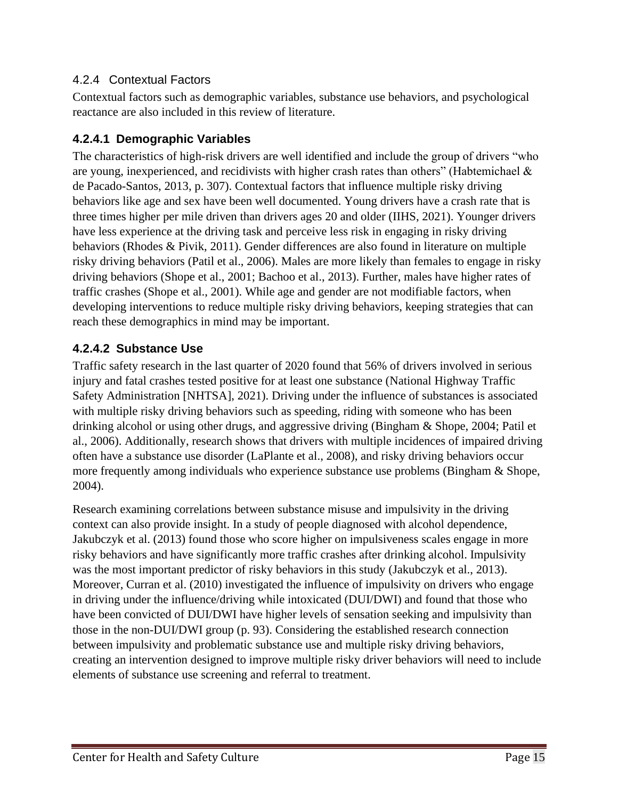#### 4.2.4 Contextual Factors

Contextual factors such as demographic variables, substance use behaviors, and psychological reactance are also included in this review of literature.

#### **4.2.4.1 Demographic Variables**

The characteristics of high-risk drivers are well identified and include the group of drivers "who are young, inexperienced, and recidivists with higher crash rates than others" (Habtemichael & de Pacado-Santos, 2013, p. 307). Contextual factors that influence multiple risky driving behaviors like age and sex have been well documented. Young drivers have a crash rate that is three times higher per mile driven than drivers ages 20 and older (IIHS, 2021). Younger drivers have less experience at the driving task and perceive less risk in engaging in risky driving behaviors (Rhodes & Pivik, 2011). Gender differences are also found in literature on multiple risky driving behaviors (Patil et al., 2006). Males are more likely than females to engage in risky driving behaviors (Shope et al., 2001; Bachoo et al., 2013). Further, males have higher rates of traffic crashes (Shope et al., 2001). While age and gender are not modifiable factors, when developing interventions to reduce multiple risky driving behaviors, keeping strategies that can reach these demographics in mind may be important.

#### **4.2.4.2 Substance Use**

Traffic safety research in the last quarter of 2020 found that 56% of drivers involved in serious injury and fatal crashes tested positive for at least one substance (National Highway Traffic Safety Administration [NHTSA], 2021). Driving under the influence of substances is associated with multiple risky driving behaviors such as speeding, riding with someone who has been drinking alcohol or using other drugs, and aggressive driving (Bingham & Shope, 2004; Patil et al., 2006). Additionally, research shows that drivers with multiple incidences of impaired driving often have a substance use disorder (LaPlante et al., 2008), and risky driving behaviors occur more frequently among individuals who experience substance use problems (Bingham & Shope, 2004).

Research examining correlations between substance misuse and impulsivity in the driving context can also provide insight. In a study of people diagnosed with alcohol dependence, Jakubczyk et al. (2013) found those who score higher on impulsiveness scales engage in more risky behaviors and have significantly more traffic crashes after drinking alcohol. Impulsivity was the most important predictor of risky behaviors in this study (Jakubczyk et al., 2013). Moreover, Curran et al. (2010) investigated the influence of impulsivity on drivers who engage in driving under the influence/driving while intoxicated (DUI/DWI) and found that those who have been convicted of DUI/DWI have higher levels of sensation seeking and impulsivity than those in the non-DUI/DWI group (p. 93). Considering the established research connection between impulsivity and problematic substance use and multiple risky driving behaviors, creating an intervention designed to improve multiple risky driver behaviors will need to include elements of substance use screening and referral to treatment.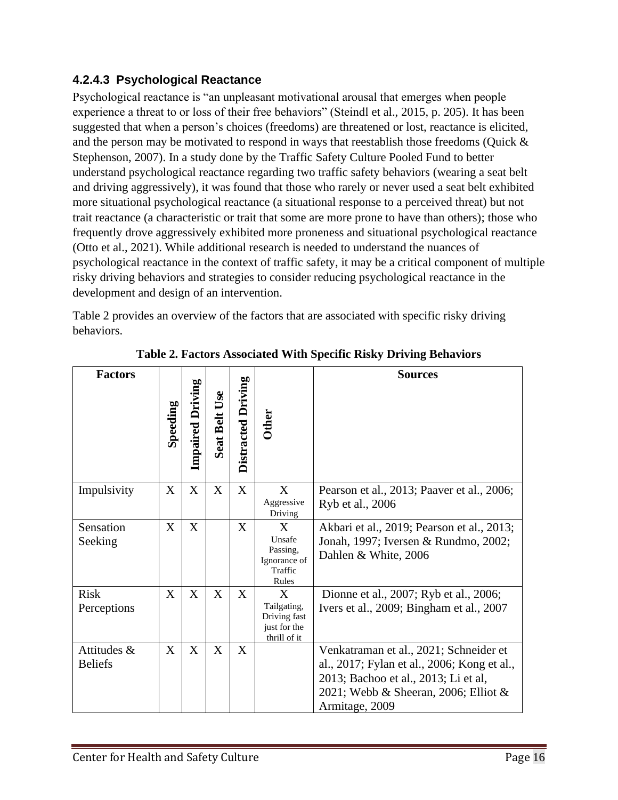#### **4.2.4.3 Psychological Reactance**

Psychological reactance is "an unpleasant motivational arousal that emerges when people experience a threat to or loss of their free behaviors" (Steindl et al., 2015, p. 205). It has been suggested that when a person's choices (freedoms) are threatened or lost, reactance is elicited, and the person may be motivated to respond in ways that reestablish those freedoms (Quick & Stephenson, 2007). In a study done by the Traffic Safety Culture Pooled Fund to better understand psychological reactance regarding two traffic safety behaviors (wearing a seat belt and driving aggressively), it was found that those who rarely or never used a seat belt exhibited more situational psychological reactance (a situational response to a perceived threat) but not trait reactance (a characteristic or trait that some are more prone to have than others); those who frequently drove aggressively exhibited more proneness and situational psychological reactance (Otto et al., 2021). While additional research is needed to understand the nuances of psychological reactance in the context of traffic safety, it may be a critical component of multiple risky driving behaviors and strategies to consider reducing psychological reactance in the development and design of an intervention.

Table 2 provides an overview of the factors that are associated with specific risky driving behaviors.

<span id="page-15-0"></span>

| <b>Factors</b>                | Speeding | <b>Impaired Driving</b> | Seat Belt Use | Distracted Driving | <b>Other</b>                                                     | <b>Sources</b>                                                                                                                                                                          |
|-------------------------------|----------|-------------------------|---------------|--------------------|------------------------------------------------------------------|-----------------------------------------------------------------------------------------------------------------------------------------------------------------------------------------|
| Impulsivity                   | X        | X                       | X             | X                  | X<br>Aggressive<br>Driving                                       | Pearson et al., 2013; Paaver et al., 2006;<br>Ryb et al., 2006                                                                                                                          |
| Sensation<br>Seeking          | X        | X                       |               | X                  | X<br>Unsafe<br>Passing,<br>Ignorance of<br>Traffic<br>Rules      | Akbari et al., 2019; Pearson et al., 2013;<br>Jonah, 1997; Iversen & Rundmo, 2002;<br>Dahlen & White, 2006                                                                              |
| <b>Risk</b><br>Perceptions    | X        | X                       | X             | X                  | X<br>Tailgating,<br>Driving fast<br>just for the<br>thrill of it | Dionne et al., 2007; Ryb et al., 2006;<br>Ivers et al., 2009; Bingham et al., 2007                                                                                                      |
| Attitudes &<br><b>Beliefs</b> | X        | X                       | X             | X                  |                                                                  | Venkatraman et al., 2021; Schneider et<br>al., 2017; Fylan et al., 2006; Kong et al.,<br>2013; Bachoo et al., 2013; Li et al,<br>2021; Webb & Sheeran, 2006; Elliot &<br>Armitage, 2009 |

**Table 2. Factors Associated With Specific Risky Driving Behaviors**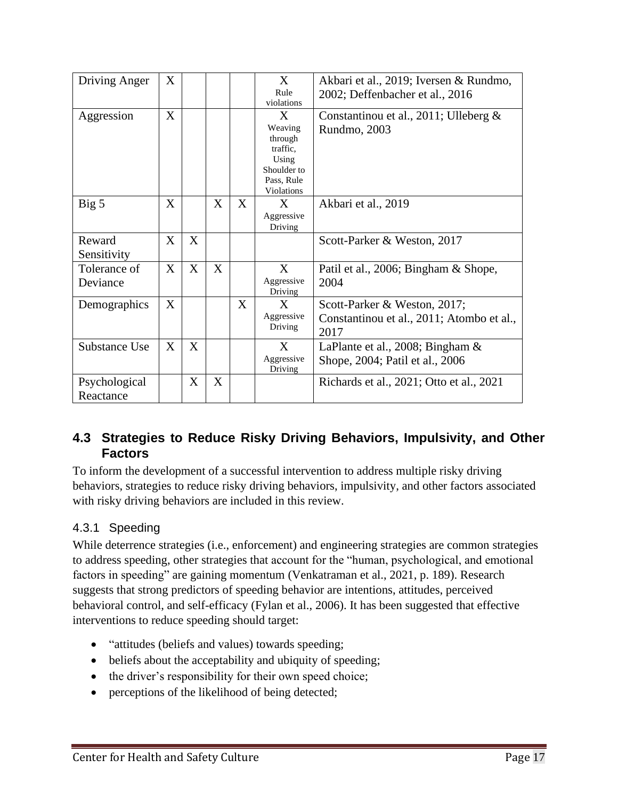| Driving Anger | X |   |   |   | X                               | Akbari et al., 2019; Iversen & Rundmo,    |
|---------------|---|---|---|---|---------------------------------|-------------------------------------------|
|               |   |   |   |   | Rule                            | 2002; Deffenbacher et al., 2016           |
|               |   |   |   |   | violations                      |                                           |
| Aggression    | X |   |   |   | $\mathbf{X}$                    | Constantinou et al., 2011; Ulleberg $\&$  |
|               |   |   |   |   | Weaving                         | Rundmo, 2003                              |
|               |   |   |   |   | through                         |                                           |
|               |   |   |   |   | traffic.                        |                                           |
|               |   |   |   |   | Using                           |                                           |
|               |   |   |   |   | Shoulder to                     |                                           |
|               |   |   |   |   | Pass, Rule<br><b>Violations</b> |                                           |
|               |   |   |   |   |                                 |                                           |
| Big 5         | X |   | X | X | X                               | Akbari et al., 2019                       |
|               |   |   |   |   | Aggressive                      |                                           |
|               |   |   |   |   | Driving                         |                                           |
| Reward        | X | X |   |   |                                 | Scott-Parker & Weston, 2017               |
| Sensitivity   |   |   |   |   |                                 |                                           |
| Tolerance of  | X | X | X |   | X                               | Patil et al., 2006; Bingham & Shope,      |
|               |   |   |   |   | Aggressive                      |                                           |
| Deviance      |   |   |   |   | Driving                         | 2004                                      |
| Demographics  | X |   |   | X | X                               | Scott-Parker & Weston, 2017;              |
|               |   |   |   |   | Aggressive                      |                                           |
|               |   |   |   |   | Driving                         | Constantinou et al., 2011; Atombo et al., |
|               |   |   |   |   |                                 | 2017                                      |
| Substance Use | X | X |   |   | X                               | LaPlante et al., 2008; Bingham $\&$       |
|               |   |   |   |   | Aggressive                      | Shope, 2004; Patil et al., 2006           |
|               |   |   |   |   | Driving                         |                                           |
| Psychological |   | X | X |   |                                 | Richards et al., 2021; Otto et al., 2021  |
| Reactance     |   |   |   |   |                                 |                                           |
|               |   |   |   |   |                                 |                                           |

#### <span id="page-16-0"></span>**4.3 Strategies to Reduce Risky Driving Behaviors, Impulsivity, and Other Factors**

To inform the development of a successful intervention to address multiple risky driving behaviors, strategies to reduce risky driving behaviors, impulsivity, and other factors associated with risky driving behaviors are included in this review.

#### 4.3.1 Speeding

While deterrence strategies (i.e., enforcement) and engineering strategies are common strategies to address speeding, other strategies that account for the "human, psychological, and emotional factors in speeding" are gaining momentum (Venkatraman et al., 2021, p. 189). Research suggests that strong predictors of speeding behavior are intentions, attitudes, perceived behavioral control, and self-efficacy (Fylan et al., 2006). It has been suggested that effective interventions to reduce speeding should target:

- "attitudes (beliefs and values) towards speeding;
- beliefs about the acceptability and ubiquity of speeding;
- the driver's responsibility for their own speed choice;
- perceptions of the likelihood of being detected;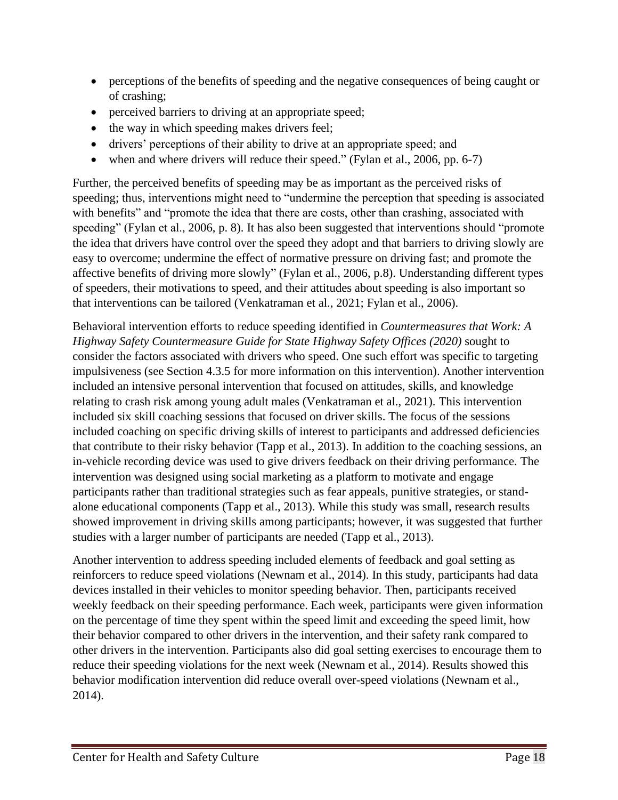- perceptions of the benefits of speeding and the negative consequences of being caught or of crashing;
- perceived barriers to driving at an appropriate speed;
- the way in which speeding makes drivers feel;
- drivers' perceptions of their ability to drive at an appropriate speed; and
- when and where drivers will reduce their speed." (Fylan et al., 2006, pp. 6-7)

Further, the perceived benefits of speeding may be as important as the perceived risks of speeding; thus, interventions might need to "undermine the perception that speeding is associated with benefits" and "promote the idea that there are costs, other than crashing, associated with speeding" (Fylan et al., 2006, p. 8). It has also been suggested that interventions should "promote the idea that drivers have control over the speed they adopt and that barriers to driving slowly are easy to overcome; undermine the effect of normative pressure on driving fast; and promote the affective benefits of driving more slowly" (Fylan et al., 2006, p.8). Understanding different types of speeders, their motivations to speed, and their attitudes about speeding is also important so that interventions can be tailored (Venkatraman et al., 2021; Fylan et al., 2006).

Behavioral intervention efforts to reduce speeding identified in *Countermeasures that Work: A Highway Safety Countermeasure Guide for State Highway Safety Offices (2020)* sought to consider the factors associated with drivers who speed. One such effort was specific to targeting impulsiveness (see Section 4.3.5 for more information on this intervention). Another intervention included an intensive personal intervention that focused on attitudes, skills, and knowledge relating to crash risk among young adult males (Venkatraman et al., 2021). This intervention included six skill coaching sessions that focused on driver skills. The focus of the sessions included coaching on specific driving skills of interest to participants and addressed deficiencies that contribute to their risky behavior (Tapp et al., 2013). In addition to the coaching sessions, an in-vehicle recording device was used to give drivers feedback on their driving performance. The intervention was designed using social marketing as a platform to motivate and engage participants rather than traditional strategies such as fear appeals, punitive strategies, or standalone educational components (Tapp et al., 2013). While this study was small, research results showed improvement in driving skills among participants; however, it was suggested that further studies with a larger number of participants are needed (Tapp et al., 2013).

Another intervention to address speeding included elements of feedback and goal setting as reinforcers to reduce speed violations (Newnam et al., 2014). In this study, participants had data devices installed in their vehicles to monitor speeding behavior. Then, participants received weekly feedback on their speeding performance. Each week, participants were given information on the percentage of time they spent within the speed limit and exceeding the speed limit, how their behavior compared to other drivers in the intervention, and their safety rank compared to other drivers in the intervention. Participants also did goal setting exercises to encourage them to reduce their speeding violations for the next week (Newnam et al., 2014). Results showed this behavior modification intervention did reduce overall over-speed violations (Newnam et al., 2014).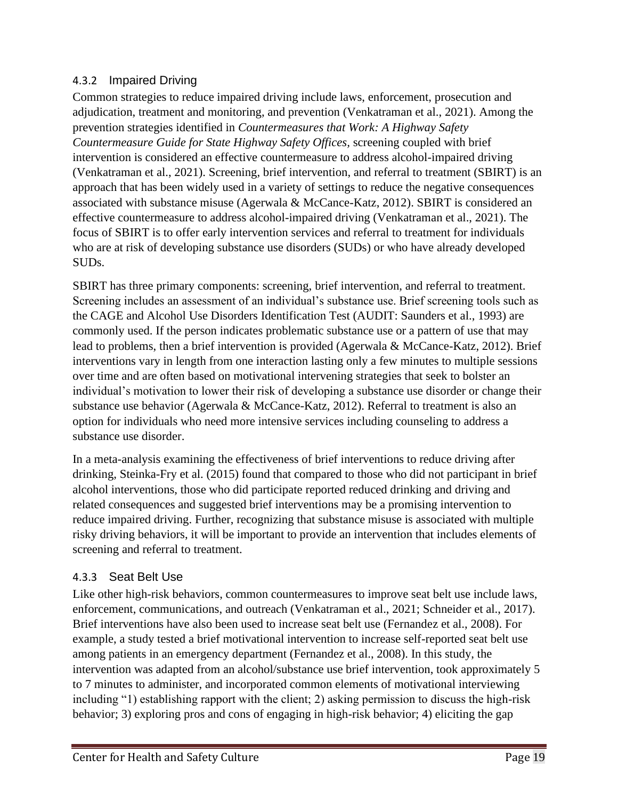#### 4.3.2 Impaired Driving

Common strategies to reduce impaired driving include laws, enforcement, prosecution and adjudication, treatment and monitoring, and prevention (Venkatraman et al., 2021). Among the prevention strategies identified in *Countermeasures that Work: A Highway Safety Countermeasure Guide for State Highway Safety Offices,* screening coupled with brief intervention is considered an effective countermeasure to address alcohol-impaired driving (Venkatraman et al., 2021). Screening, brief intervention, and referral to treatment (SBIRT) is an approach that has been widely used in a variety of settings to reduce the negative consequences associated with substance misuse (Agerwala & McCance-Katz, 2012). SBIRT is considered an effective countermeasure to address alcohol-impaired driving (Venkatraman et al., 2021). The focus of SBIRT is to offer early intervention services and referral to treatment for individuals who are at risk of developing substance use disorders (SUDs) or who have already developed SUDs.

SBIRT has three primary components: screening, brief intervention, and referral to treatment. Screening includes an assessment of an individual's substance use. Brief screening tools such as the CAGE and Alcohol Use Disorders Identification Test (AUDIT: Saunders et al., 1993) are commonly used. If the person indicates problematic substance use or a pattern of use that may lead to problems, then a brief intervention is provided (Agerwala & McCance-Katz, 2012). Brief interventions vary in length from one interaction lasting only a few minutes to multiple sessions over time and are often based on motivational intervening strategies that seek to bolster an individual's motivation to lower their risk of developing a substance use disorder or change their substance use behavior (Agerwala & McCance-Katz, 2012). Referral to treatment is also an option for individuals who need more intensive services including counseling to address a substance use disorder.

In a meta-analysis examining the effectiveness of brief interventions to reduce driving after drinking, Steinka-Fry et al. (2015) found that compared to those who did not participant in brief alcohol interventions, those who did participate reported reduced drinking and driving and related consequences and suggested brief interventions may be a promising intervention to reduce impaired driving. Further, recognizing that substance misuse is associated with multiple risky driving behaviors, it will be important to provide an intervention that includes elements of screening and referral to treatment.

#### 4.3.3 Seat Belt Use

Like other high-risk behaviors, common countermeasures to improve seat belt use include laws, enforcement, communications, and outreach (Venkatraman et al., 2021; Schneider et al., 2017). Brief interventions have also been used to increase seat belt use (Fernandez et al., 2008). For example, a study tested a brief motivational intervention to increase self-reported seat belt use among patients in an emergency department (Fernandez et al., 2008). In this study, the intervention was adapted from an alcohol/substance use brief intervention, took approximately 5 to 7 minutes to administer, and incorporated common elements of motivational interviewing including "1) establishing rapport with the client; 2) asking permission to discuss the high-risk behavior; 3) exploring pros and cons of engaging in high-risk behavior; 4) eliciting the gap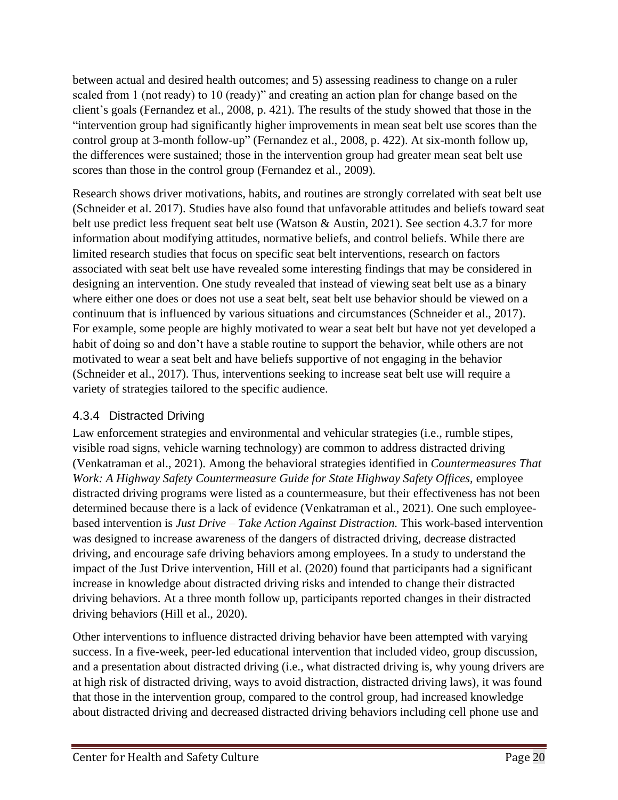between actual and desired health outcomes; and 5) assessing readiness to change on a ruler scaled from 1 (not ready) to 10 (ready)" and creating an action plan for change based on the client's goals (Fernandez et al., 2008, p. 421). The results of the study showed that those in the "intervention group had significantly higher improvements in mean seat belt use scores than the control group at 3-month follow-up" (Fernandez et al., 2008, p. 422). At six-month follow up, the differences were sustained; those in the intervention group had greater mean seat belt use scores than those in the control group (Fernandez et al., 2009).

Research shows driver motivations, habits, and routines are strongly correlated with seat belt use (Schneider et al. 2017). Studies have also found that unfavorable attitudes and beliefs toward seat belt use predict less frequent seat belt use (Watson & Austin, 2021). See section 4.3.7 for more information about modifying attitudes, normative beliefs, and control beliefs. While there are limited research studies that focus on specific seat belt interventions, research on factors associated with seat belt use have revealed some interesting findings that may be considered in designing an intervention. One study revealed that instead of viewing seat belt use as a binary where either one does or does not use a seat belt, seat belt use behavior should be viewed on a continuum that is influenced by various situations and circumstances (Schneider et al., 2017). For example, some people are highly motivated to wear a seat belt but have not yet developed a habit of doing so and don't have a stable routine to support the behavior, while others are not motivated to wear a seat belt and have beliefs supportive of not engaging in the behavior (Schneider et al., 2017). Thus, interventions seeking to increase seat belt use will require a variety of strategies tailored to the specific audience.

#### 4.3.4 Distracted Driving

Law enforcement strategies and environmental and vehicular strategies (i.e., rumble stipes, visible road signs, vehicle warning technology) are common to address distracted driving (Venkatraman et al., 2021). Among the behavioral strategies identified in *Countermeasures That Work: A Highway Safety Countermeasure Guide for State Highway Safety Offices,* employee distracted driving programs were listed as a countermeasure, but their effectiveness has not been determined because there is a lack of evidence (Venkatraman et al., 2021). One such employeebased intervention is *Just Drive – Take Action Against Distraction.* This work-based intervention was designed to increase awareness of the dangers of distracted driving, decrease distracted driving, and encourage safe driving behaviors among employees. In a study to understand the impact of the Just Drive intervention, Hill et al. (2020) found that participants had a significant increase in knowledge about distracted driving risks and intended to change their distracted driving behaviors. At a three month follow up, participants reported changes in their distracted driving behaviors (Hill et al., 2020).

Other interventions to influence distracted driving behavior have been attempted with varying success. In a five-week, peer-led educational intervention that included video, group discussion, and a presentation about distracted driving (i.e., what distracted driving is, why young drivers are at high risk of distracted driving, ways to avoid distraction, distracted driving laws), it was found that those in the intervention group, compared to the control group, had increased knowledge about distracted driving and decreased distracted driving behaviors including cell phone use and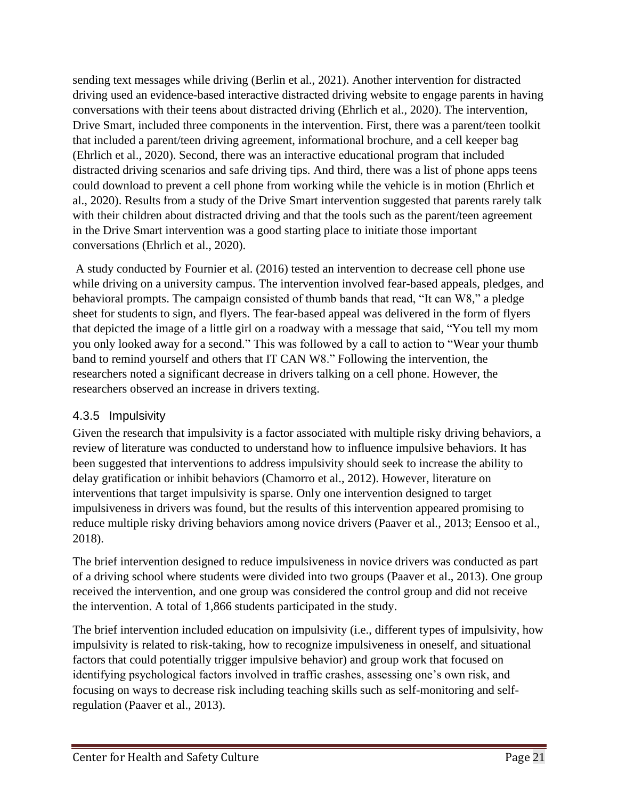sending text messages while driving (Berlin et al., 2021). Another intervention for distracted driving used an evidence-based interactive distracted driving website to engage parents in having conversations with their teens about distracted driving (Ehrlich et al., 2020). The intervention, Drive Smart, included three components in the intervention. First, there was a parent/teen toolkit that included a parent/teen driving agreement, informational brochure, and a cell keeper bag (Ehrlich et al., 2020). Second, there was an interactive educational program that included distracted driving scenarios and safe driving tips. And third, there was a list of phone apps teens could download to prevent a cell phone from working while the vehicle is in motion (Ehrlich et al., 2020). Results from a study of the Drive Smart intervention suggested that parents rarely talk with their children about distracted driving and that the tools such as the parent/teen agreement in the Drive Smart intervention was a good starting place to initiate those important conversations (Ehrlich et al., 2020).

A study conducted by Fournier et al. (2016) tested an intervention to decrease cell phone use while driving on a university campus. The intervention involved fear-based appeals, pledges, and behavioral prompts. The campaign consisted of thumb bands that read, "It can W8," a pledge sheet for students to sign, and flyers. The fear-based appeal was delivered in the form of flyers that depicted the image of a little girl on a roadway with a message that said, "You tell my mom you only looked away for a second." This was followed by a call to action to "Wear your thumb band to remind yourself and others that IT CAN W8." Following the intervention, the researchers noted a significant decrease in drivers talking on a cell phone. However, the researchers observed an increase in drivers texting.

#### 4.3.5 Impulsivity

Given the research that impulsivity is a factor associated with multiple risky driving behaviors, a review of literature was conducted to understand how to influence impulsive behaviors. It has been suggested that interventions to address impulsivity should seek to increase the ability to delay gratification or inhibit behaviors (Chamorro et al., 2012). However, literature on interventions that target impulsivity is sparse. Only one intervention designed to target impulsiveness in drivers was found, but the results of this intervention appeared promising to reduce multiple risky driving behaviors among novice drivers (Paaver et al., 2013; Eensoo et al., 2018).

The brief intervention designed to reduce impulsiveness in novice drivers was conducted as part of a driving school where students were divided into two groups (Paaver et al., 2013). One group received the intervention, and one group was considered the control group and did not receive the intervention. A total of 1,866 students participated in the study.

The brief intervention included education on impulsivity (i.e., different types of impulsivity, how impulsivity is related to risk-taking, how to recognize impulsiveness in oneself, and situational factors that could potentially trigger impulsive behavior) and group work that focused on identifying psychological factors involved in traffic crashes, assessing one's own risk, and focusing on ways to decrease risk including teaching skills such as self-monitoring and selfregulation (Paaver et al., 2013).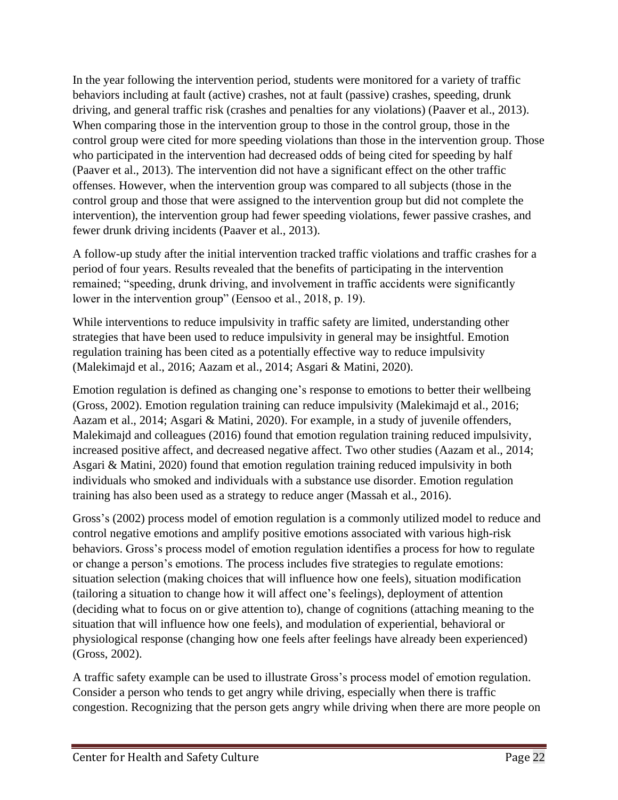In the year following the intervention period, students were monitored for a variety of traffic behaviors including at fault (active) crashes, not at fault (passive) crashes, speeding, drunk driving, and general traffic risk (crashes and penalties for any violations) (Paaver et al., 2013). When comparing those in the intervention group to those in the control group, those in the control group were cited for more speeding violations than those in the intervention group. Those who participated in the intervention had decreased odds of being cited for speeding by half (Paaver et al., 2013). The intervention did not have a significant effect on the other traffic offenses. However, when the intervention group was compared to all subjects (those in the control group and those that were assigned to the intervention group but did not complete the intervention), the intervention group had fewer speeding violations, fewer passive crashes, and fewer drunk driving incidents (Paaver et al., 2013).

A follow-up study after the initial intervention tracked traffic violations and traffic crashes for a period of four years. Results revealed that the benefits of participating in the intervention remained; "speeding, drunk driving, and involvement in traffic accidents were significantly lower in the intervention group" (Eensoo et al., 2018, p. 19).

While interventions to reduce impulsivity in traffic safety are limited, understanding other strategies that have been used to reduce impulsivity in general may be insightful. Emotion regulation training has been cited as a potentially effective way to reduce impulsivity (Malekimajd et al., 2016; Aazam et al., 2014; Asgari & Matini, 2020).

Emotion regulation is defined as changing one's response to emotions to better their wellbeing (Gross, 2002). Emotion regulation training can reduce impulsivity (Malekimajd et al., 2016; Aazam et al., 2014; Asgari & Matini, 2020). For example, in a study of juvenile offenders, Malekimajd and colleagues (2016) found that emotion regulation training reduced impulsivity, increased positive affect, and decreased negative affect. Two other studies (Aazam et al., 2014; Asgari & Matini, 2020) found that emotion regulation training reduced impulsivity in both individuals who smoked and individuals with a substance use disorder. Emotion regulation training has also been used as a strategy to reduce anger (Massah et al., 2016).

Gross's (2002) process model of emotion regulation is a commonly utilized model to reduce and control negative emotions and amplify positive emotions associated with various high-risk behaviors. Gross's process model of emotion regulation identifies a process for how to regulate or change a person's emotions. The process includes five strategies to regulate emotions: situation selection (making choices that will influence how one feels), situation modification (tailoring a situation to change how it will affect one's feelings), deployment of attention (deciding what to focus on or give attention to), change of cognitions (attaching meaning to the situation that will influence how one feels), and modulation of experiential, behavioral or physiological response (changing how one feels after feelings have already been experienced) (Gross, 2002).

A traffic safety example can be used to illustrate Gross's process model of emotion regulation. Consider a person who tends to get angry while driving, especially when there is traffic congestion. Recognizing that the person gets angry while driving when there are more people on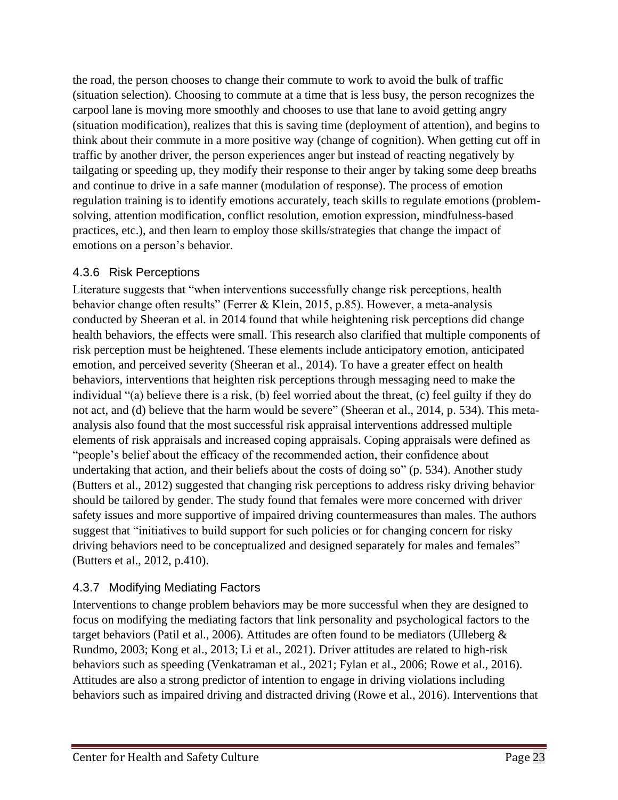the road, the person chooses to change their commute to work to avoid the bulk of traffic (situation selection). Choosing to commute at a time that is less busy, the person recognizes the carpool lane is moving more smoothly and chooses to use that lane to avoid getting angry (situation modification), realizes that this is saving time (deployment of attention), and begins to think about their commute in a more positive way (change of cognition). When getting cut off in traffic by another driver, the person experiences anger but instead of reacting negatively by tailgating or speeding up, they modify their response to their anger by taking some deep breaths and continue to drive in a safe manner (modulation of response). The process of emotion regulation training is to identify emotions accurately, teach skills to regulate emotions (problemsolving, attention modification, conflict resolution, emotion expression, mindfulness-based practices, etc.), and then learn to employ those skills/strategies that change the impact of emotions on a person's behavior.

#### 4.3.6 Risk Perceptions

Literature suggests that "when interventions successfully change risk perceptions, health behavior change often results" (Ferrer & Klein, 2015, p.85). However, a meta-analysis conducted by Sheeran et al. in 2014 found that while heightening risk perceptions did change health behaviors, the effects were small. This research also clarified that multiple components of risk perception must be heightened. These elements include anticipatory emotion, anticipated emotion, and perceived severity (Sheeran et al., 2014). To have a greater effect on health behaviors, interventions that heighten risk perceptions through messaging need to make the individual "(a) believe there is a risk, (b) feel worried about the threat, (c) feel guilty if they do not act, and (d) believe that the harm would be severe" (Sheeran et al., 2014, p. 534). This metaanalysis also found that the most successful risk appraisal interventions addressed multiple elements of risk appraisals and increased coping appraisals. Coping appraisals were defined as "people's belief about the efficacy of the recommended action, their confidence about undertaking that action, and their beliefs about the costs of doing so" (p. 534). Another study (Butters et al., 2012) suggested that changing risk perceptions to address risky driving behavior should be tailored by gender. The study found that females were more concerned with driver safety issues and more supportive of impaired driving countermeasures than males. The authors suggest that "initiatives to build support for such policies or for changing concern for risky driving behaviors need to be conceptualized and designed separately for males and females" (Butters et al., 2012, p.410).

#### 4.3.7 Modifying Mediating Factors

Interventions to change problem behaviors may be more successful when they are designed to focus on modifying the mediating factors that link personality and psychological factors to the target behaviors (Patil et al., 2006). Attitudes are often found to be mediators (Ulleberg & Rundmo, 2003; Kong et al., 2013; Li et al., 2021). Driver attitudes are related to high-risk behaviors such as speeding (Venkatraman et al., 2021; Fylan et al., 2006; Rowe et al., 2016). Attitudes are also a strong predictor of intention to engage in driving violations including behaviors such as impaired driving and distracted driving (Rowe et al., 2016). Interventions that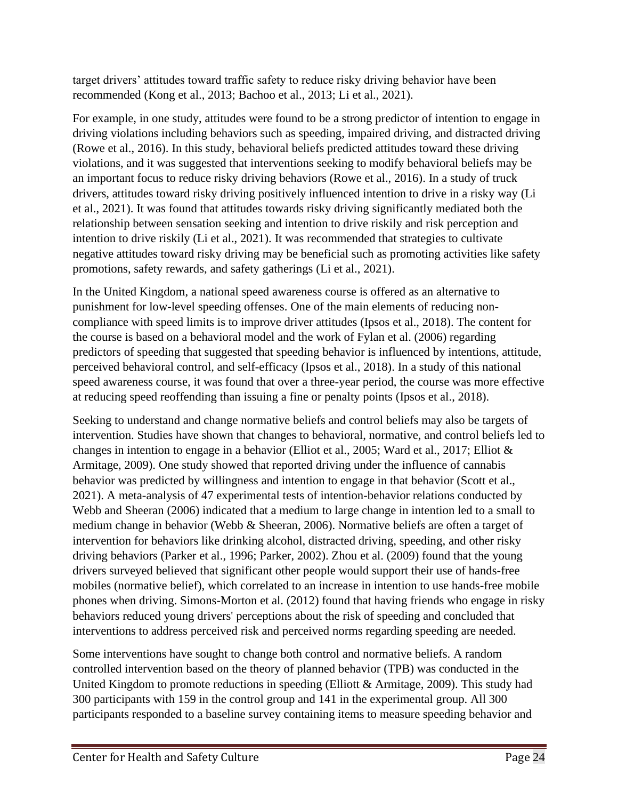target drivers' attitudes toward traffic safety to reduce risky driving behavior have been recommended (Kong et al., 2013; Bachoo et al., 2013; Li et al., 2021).

For example, in one study, attitudes were found to be a strong predictor of intention to engage in driving violations including behaviors such as speeding, impaired driving, and distracted driving (Rowe et al., 2016). In this study, behavioral beliefs predicted attitudes toward these driving violations, and it was suggested that interventions seeking to modify behavioral beliefs may be an important focus to reduce risky driving behaviors (Rowe et al., 2016). In a study of truck drivers, attitudes toward risky driving positively influenced intention to drive in a risky way (Li et al., 2021). It was found that attitudes towards risky driving significantly mediated both the relationship between sensation seeking and intention to drive riskily and risk perception and intention to drive riskily (Li et al., 2021). It was recommended that strategies to cultivate negative attitudes toward risky driving may be beneficial such as promoting activities like safety promotions, safety rewards, and safety gatherings (Li et al., 2021).

In the United Kingdom, a national speed awareness course is offered as an alternative to punishment for low-level speeding offenses. One of the main elements of reducing noncompliance with speed limits is to improve driver attitudes (Ipsos et al., 2018). The content for the course is based on a behavioral model and the work of Fylan et al. (2006) regarding predictors of speeding that suggested that speeding behavior is influenced by intentions, attitude, perceived behavioral control, and self-efficacy (Ipsos et al., 2018). In a study of this national speed awareness course, it was found that over a three-year period, the course was more effective at reducing speed reoffending than issuing a fine or penalty points (Ipsos et al., 2018).

Seeking to understand and change normative beliefs and control beliefs may also be targets of intervention. Studies have shown that changes to behavioral, normative, and control beliefs led to changes in intention to engage in a behavior (Elliot et al., 2005; Ward et al., 2017; Elliot & Armitage, 2009). One study showed that reported driving under the influence of cannabis behavior was predicted by willingness and intention to engage in that behavior (Scott et al., 2021). A meta-analysis of 47 experimental tests of intention-behavior relations conducted by Webb and Sheeran (2006) indicated that a medium to large change in intention led to a small to medium change in behavior (Webb & Sheeran, 2006). Normative beliefs are often a target of intervention for behaviors like drinking alcohol, distracted driving, speeding, and other risky driving behaviors (Parker et al., 1996; Parker, 2002). Zhou et al. (2009) found that the young drivers surveyed believed that significant other people would support their use of hands-free mobiles (normative belief), which correlated to an increase in intention to use hands-free mobile phones when driving. Simons-Morton et al. (2012) found that having friends who engage in risky behaviors reduced young drivers' perceptions about the risk of speeding and concluded that interventions to address perceived risk and perceived norms regarding speeding are needed.

Some interventions have sought to change both control and normative beliefs. A random controlled intervention based on the theory of planned behavior (TPB) was conducted in the United Kingdom to promote reductions in speeding (Elliott & Armitage, 2009). This study had 300 participants with 159 in the control group and 141 in the experimental group. All 300 participants responded to a baseline survey containing items to measure speeding behavior and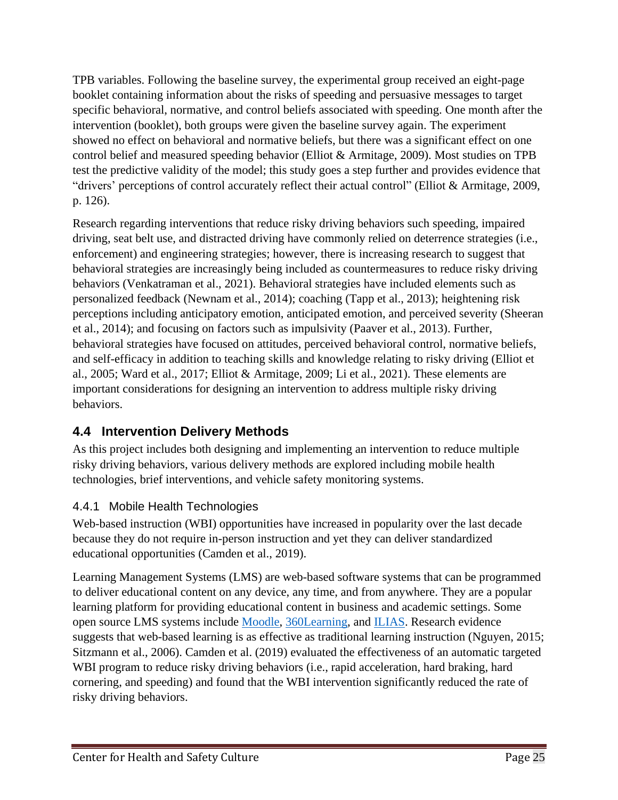TPB variables. Following the baseline survey, the experimental group received an eight-page booklet containing information about the risks of speeding and persuasive messages to target specific behavioral, normative, and control beliefs associated with speeding. One month after the intervention (booklet), both groups were given the baseline survey again. The experiment showed no effect on behavioral and normative beliefs, but there was a significant effect on one control belief and measured speeding behavior (Elliot & Armitage, 2009). Most studies on TPB test the predictive validity of the model; this study goes a step further and provides evidence that "drivers' perceptions of control accurately reflect their actual control" (Elliot & Armitage, 2009, p. 126).

Research regarding interventions that reduce risky driving behaviors such speeding, impaired driving, seat belt use, and distracted driving have commonly relied on deterrence strategies (i.e., enforcement) and engineering strategies; however, there is increasing research to suggest that behavioral strategies are increasingly being included as countermeasures to reduce risky driving behaviors (Venkatraman et al., 2021). Behavioral strategies have included elements such as personalized feedback (Newnam et al., 2014); coaching (Tapp et al., 2013); heightening risk perceptions including anticipatory emotion, anticipated emotion, and perceived severity (Sheeran et al., 2014); and focusing on factors such as impulsivity (Paaver et al., 2013). Further, behavioral strategies have focused on attitudes, perceived behavioral control, normative beliefs, and self-efficacy in addition to teaching skills and knowledge relating to risky driving (Elliot et al., 2005; Ward et al., 2017; Elliot & Armitage, 2009; Li et al., 2021). These elements are important considerations for designing an intervention to address multiple risky driving behaviors.

## <span id="page-24-0"></span>**4.4 Intervention Delivery Methods**

As this project includes both designing and implementing an intervention to reduce multiple risky driving behaviors, various delivery methods are explored including mobile health technologies, brief interventions, and vehicle safety monitoring systems.

## 4.4.1 Mobile Health Technologies

Web-based instruction (WBI) opportunities have increased in popularity over the last decade because they do not require in-person instruction and yet they can deliver standardized educational opportunities (Camden et al., 2019).

Learning Management Systems (LMS) are web-based software systems that can be programmed to deliver educational content on any device, any time, and from anywhere. They are a popular learning platform for providing educational content in business and academic settings. Some open source LMS systems include [Moodle,](https://moodle.org/) [360Learning,](https://360learning.com/lp/collaborative-lms-specific-us/?utm_source=capterra&utm_medium=cpc&utm_campaign=directory-lms_cpc&utm_content=LP) and [ILIAS.](https://www.ilias.de/en/) Research evidence suggests that web-based learning is as effective as traditional learning instruction (Nguyen, 2015; Sitzmann et al., 2006). Camden et al. (2019) evaluated the effectiveness of an automatic targeted WBI program to reduce risky driving behaviors (i.e., rapid acceleration, hard braking, hard cornering, and speeding) and found that the WBI intervention significantly reduced the rate of risky driving behaviors.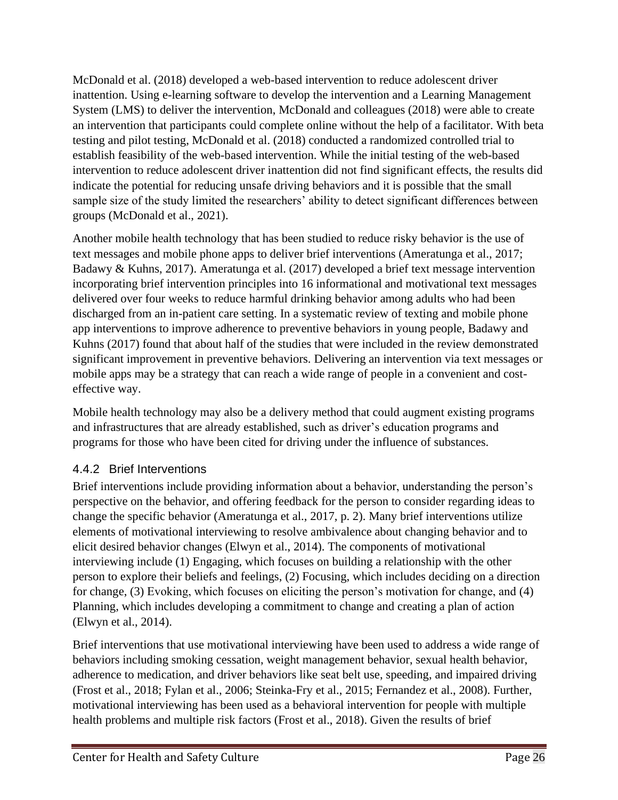McDonald et al. (2018) developed a web-based intervention to reduce adolescent driver inattention. Using e-learning software to develop the intervention and a Learning Management System (LMS) to deliver the intervention, McDonald and colleagues (2018) were able to create an intervention that participants could complete online without the help of a facilitator. With beta testing and pilot testing, McDonald et al. (2018) conducted a randomized controlled trial to establish feasibility of the web-based intervention. While the initial testing of the web-based intervention to reduce adolescent driver inattention did not find significant effects, the results did indicate the potential for reducing unsafe driving behaviors and it is possible that the small sample size of the study limited the researchers' ability to detect significant differences between groups (McDonald et al., 2021).

Another mobile health technology that has been studied to reduce risky behavior is the use of text messages and mobile phone apps to deliver brief interventions (Ameratunga et al., 2017; Badawy & Kuhns, 2017). Ameratunga et al. (2017) developed a brief text message intervention incorporating brief intervention principles into 16 informational and motivational text messages delivered over four weeks to reduce harmful drinking behavior among adults who had been discharged from an in-patient care setting. In a systematic review of texting and mobile phone app interventions to improve adherence to preventive behaviors in young people, Badawy and Kuhns (2017) found that about half of the studies that were included in the review demonstrated significant improvement in preventive behaviors. Delivering an intervention via text messages or mobile apps may be a strategy that can reach a wide range of people in a convenient and costeffective way.

Mobile health technology may also be a delivery method that could augment existing programs and infrastructures that are already established, such as driver's education programs and programs for those who have been cited for driving under the influence of substances.

#### 4.4.2 Brief Interventions

Brief interventions include providing information about a behavior, understanding the person's perspective on the behavior, and offering feedback for the person to consider regarding ideas to change the specific behavior (Ameratunga et al., 2017, p. 2). Many brief interventions utilize elements of motivational interviewing to resolve ambivalence about changing behavior and to elicit desired behavior changes (Elwyn et al., 2014). The components of motivational interviewing include (1) Engaging, which focuses on building a relationship with the other person to explore their beliefs and feelings, (2) Focusing, which includes deciding on a direction for change, (3) Evoking, which focuses on eliciting the person's motivation for change, and (4) Planning, which includes developing a commitment to change and creating a plan of action (Elwyn et al., 2014).

Brief interventions that use motivational interviewing have been used to address a wide range of behaviors including smoking cessation, weight management behavior, sexual health behavior, adherence to medication, and driver behaviors like seat belt use, speeding, and impaired driving (Frost et al., 2018; Fylan et al., 2006; Steinka-Fry et al., 2015; Fernandez et al., 2008). Further, motivational interviewing has been used as a behavioral intervention for people with multiple health problems and multiple risk factors (Frost et al., 2018). Given the results of brief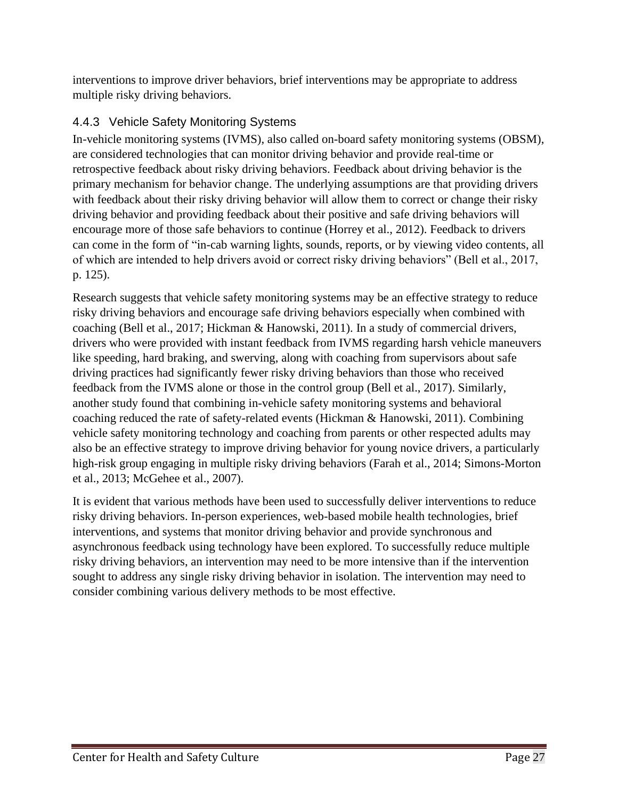interventions to improve driver behaviors, brief interventions may be appropriate to address multiple risky driving behaviors.

### 4.4.3 Vehicle Safety Monitoring Systems

In-vehicle monitoring systems (IVMS), also called on-board safety monitoring systems (OBSM), are considered technologies that can monitor driving behavior and provide real-time or retrospective feedback about risky driving behaviors. Feedback about driving behavior is the primary mechanism for behavior change. The underlying assumptions are that providing drivers with feedback about their risky driving behavior will allow them to correct or change their risky driving behavior and providing feedback about their positive and safe driving behaviors will encourage more of those safe behaviors to continue (Horrey et al., 2012). Feedback to drivers can come in the form of "in-cab warning lights, sounds, reports, or by viewing video contents, all of which are intended to help drivers avoid or correct risky driving behaviors" (Bell et al., 2017, p. 125).

Research suggests that vehicle safety monitoring systems may be an effective strategy to reduce risky driving behaviors and encourage safe driving behaviors especially when combined with coaching (Bell et al., 2017; Hickman & Hanowski, 2011). In a study of commercial drivers, drivers who were provided with instant feedback from IVMS regarding harsh vehicle maneuvers like speeding, hard braking, and swerving, along with coaching from supervisors about safe driving practices had significantly fewer risky driving behaviors than those who received feedback from the IVMS alone or those in the control group (Bell et al., 2017). Similarly, another study found that combining in-vehicle safety monitoring systems and behavioral coaching reduced the rate of safety-related events (Hickman & Hanowski, 2011). Combining vehicle safety monitoring technology and coaching from parents or other respected adults may also be an effective strategy to improve driving behavior for young novice drivers, a particularly high-risk group engaging in multiple risky driving behaviors (Farah et al., 2014; Simons-Morton et al., 2013; McGehee et al., 2007).

It is evident that various methods have been used to successfully deliver interventions to reduce risky driving behaviors. In-person experiences, web-based mobile health technologies, brief interventions, and systems that monitor driving behavior and provide synchronous and asynchronous feedback using technology have been explored. To successfully reduce multiple risky driving behaviors, an intervention may need to be more intensive than if the intervention sought to address any single risky driving behavior in isolation. The intervention may need to consider combining various delivery methods to be most effective.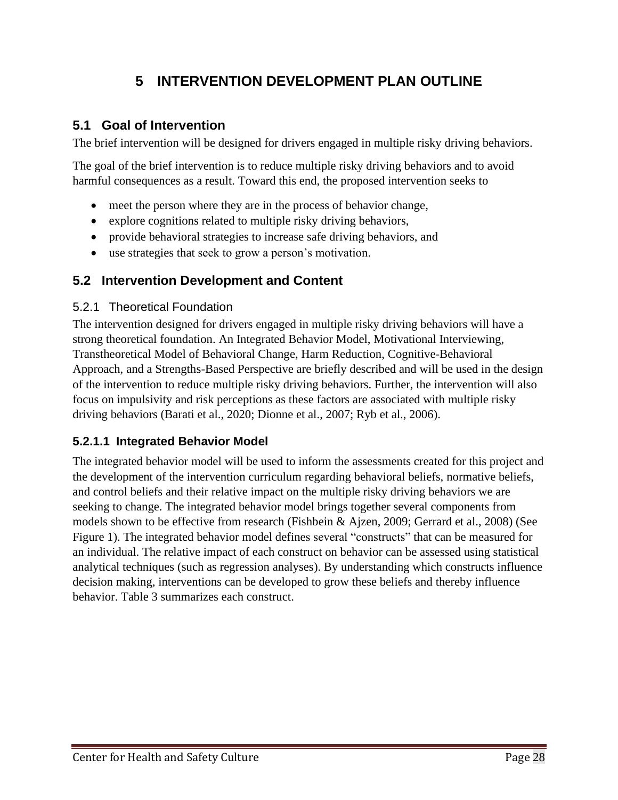# **5 INTERVENTION DEVELOPMENT PLAN OUTLINE**

### <span id="page-27-1"></span><span id="page-27-0"></span>**5.1 Goal of Intervention**

The brief intervention will be designed for drivers engaged in multiple risky driving behaviors.

The goal of the brief intervention is to reduce multiple risky driving behaviors and to avoid harmful consequences as a result. Toward this end, the proposed intervention seeks to

- meet the person where they are in the process of behavior change,
- explore cognitions related to multiple risky driving behaviors,
- provide behavioral strategies to increase safe driving behaviors, and
- use strategies that seek to grow a person's motivation.

#### <span id="page-27-2"></span>**5.2 Intervention Development and Content**

#### 5.2.1 Theoretical Foundation

The intervention designed for drivers engaged in multiple risky driving behaviors will have a strong theoretical foundation. An Integrated Behavior Model, Motivational Interviewing, Transtheoretical Model of Behavioral Change, Harm Reduction, Cognitive-Behavioral Approach, and a Strengths-Based Perspective are briefly described and will be used in the design of the intervention to reduce multiple risky driving behaviors. Further, the intervention will also focus on impulsivity and risk perceptions as these factors are associated with multiple risky driving behaviors (Barati et al., 2020; Dionne et al., 2007; Ryb et al., 2006).

#### **5.2.1.1 Integrated Behavior Model**

The integrated behavior model will be used to inform the assessments created for this project and the development of the intervention curriculum regarding behavioral beliefs, normative beliefs, and control beliefs and their relative impact on the multiple risky driving behaviors we are seeking to change. The integrated behavior model brings together several components from models shown to be effective from research (Fishbein & Ajzen, 2009; Gerrard et al., 2008) (See Figure 1). The integrated behavior model defines several "constructs" that can be measured for an individual. The relative impact of each construct on behavior can be assessed using statistical analytical techniques (such as regression analyses). By understanding which constructs influence decision making, interventions can be developed to grow these beliefs and thereby influence behavior. Table 3 summarizes each construct.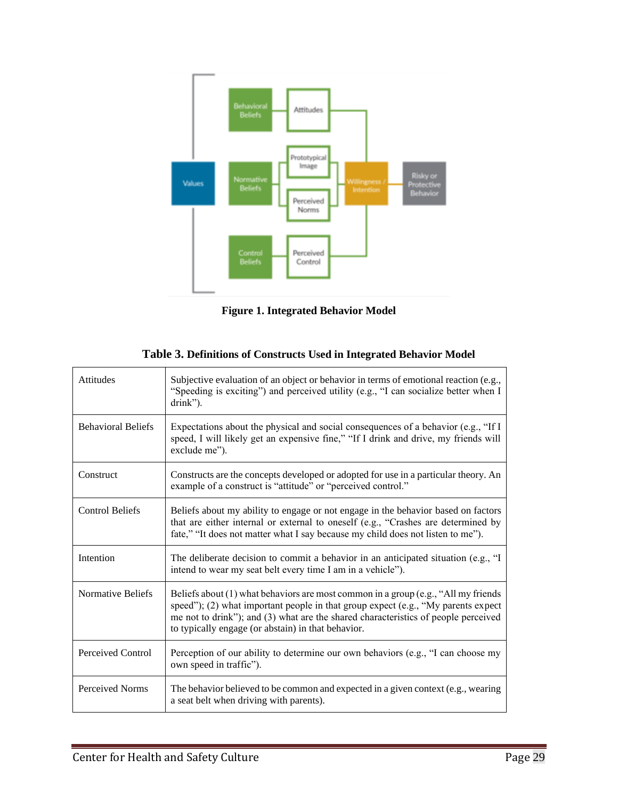

**Figure 1. Integrated Behavior Model**

<span id="page-28-1"></span><span id="page-28-0"></span>

| Attitudes                 | Subjective evaluation of an object or behavior in terms of emotional reaction (e.g.,<br>"Speeding is exciting") and perceived utility (e.g., "I can socialize better when I<br>drink").                                                                                                                                 |
|---------------------------|-------------------------------------------------------------------------------------------------------------------------------------------------------------------------------------------------------------------------------------------------------------------------------------------------------------------------|
| <b>Behavioral Beliefs</b> | Expectations about the physical and social consequences of a behavior (e.g., "If I<br>speed, I will likely get an expensive fine," "If I drink and drive, my friends will<br>exclude me").                                                                                                                              |
| Construct                 | Constructs are the concepts developed or adopted for use in a particular theory. An<br>example of a construct is "attitude" or "perceived control."                                                                                                                                                                     |
| <b>Control Beliefs</b>    | Beliefs about my ability to engage or not engage in the behavior based on factors<br>that are either internal or external to oneself (e.g., "Crashes are determined by<br>fate," "It does not matter what I say because my child does not listen to me").                                                               |
| Intention                 | The deliberate decision to commit a behavior in an anticipated situation (e.g., "I<br>intend to wear my seat belt every time I am in a vehicle").                                                                                                                                                                       |
| Normative Beliefs         | Beliefs about $(1)$ what behaviors are most common in a group (e.g., "All my friends")<br>speed"); (2) what important people in that group expect (e.g., "My parents expect<br>me not to drink"); and (3) what are the shared characteristics of people perceived<br>to typically engage (or abstain) in that behavior. |
| Perceived Control         | Perception of our ability to determine our own behaviors (e.g., "I can choose my<br>own speed in traffic").                                                                                                                                                                                                             |
| Perceived Norms           | The behavior believed to be common and expected in a given context (e.g., wearing<br>a seat belt when driving with parents).                                                                                                                                                                                            |

| Table 3. Definitions of Constructs Used in Integrated Behavior Model |  |  |
|----------------------------------------------------------------------|--|--|
|----------------------------------------------------------------------|--|--|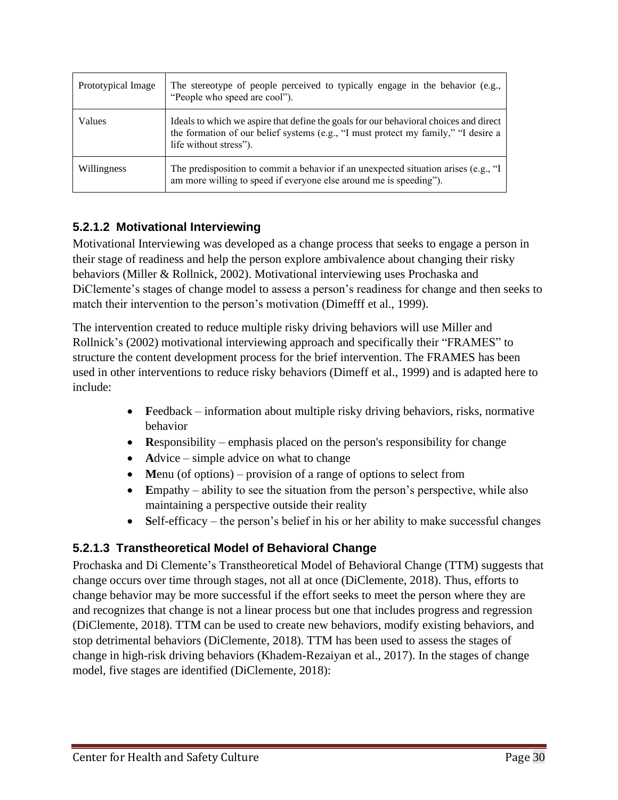| Prototypical Image | The stereotype of people perceived to typically engage in the behavior (e.g.,<br>"People who speed are cool").                                                                                        |
|--------------------|-------------------------------------------------------------------------------------------------------------------------------------------------------------------------------------------------------|
| Values             | Ideals to which we aspire that define the goals for our behavioral choices and direct<br>the formation of our belief systems (e.g., "I must protect my family," "I desire a<br>life without stress"). |
| Willingness        | The predisposition to commit a behavior if an unexpected situation arises (e.g., " $\mathbf{I}$<br>am more willing to speed if everyone else around me is speeding").                                 |

### **5.2.1.2 Motivational Interviewing**

Motivational Interviewing was developed as a change process that seeks to engage a person in their stage of readiness and help the person explore ambivalence about changing their risky behaviors (Miller & Rollnick, 2002). Motivational interviewing uses Prochaska and DiClemente's stages of change model to assess a person's readiness for change and then seeks to match their intervention to the person's motivation (Dimefff et al., 1999).

The intervention created to reduce multiple risky driving behaviors will use Miller and Rollnick's (2002) motivational interviewing approach and specifically their "FRAMES" to structure the content development process for the brief intervention. The FRAMES has been used in other interventions to reduce risky behaviors (Dimeff et al., 1999) and is adapted here to include:

- **Feedback** information about multiple risky driving behaviors, risks, normative behavior
- **R**esponsibility emphasis placed on the person's responsibility for change
- **Advice** simple advice on what to change
- Menu (of options) provision of a range of options to select from
- Empathy ability to see the situation from the person's perspective, while also maintaining a perspective outside their reality
- Self-efficacy the person's belief in his or her ability to make successful changes

#### **5.2.1.3 Transtheoretical Model of Behavioral Change**

Prochaska and Di Clemente's Transtheoretical Model of Behavioral Change (TTM) suggests that change occurs over time through stages, not all at once (DiClemente, 2018). Thus, efforts to change behavior may be more successful if the effort seeks to meet the person where they are and recognizes that change is not a linear process but one that includes progress and regression (DiClemente, 2018). TTM can be used to create new behaviors, modify existing behaviors, and stop detrimental behaviors (DiClemente, 2018). TTM has been used to assess the stages of change in high-risk driving behaviors (Khadem-Rezaiyan et al., 2017). In the stages of change model, five stages are identified (DiClemente, 2018):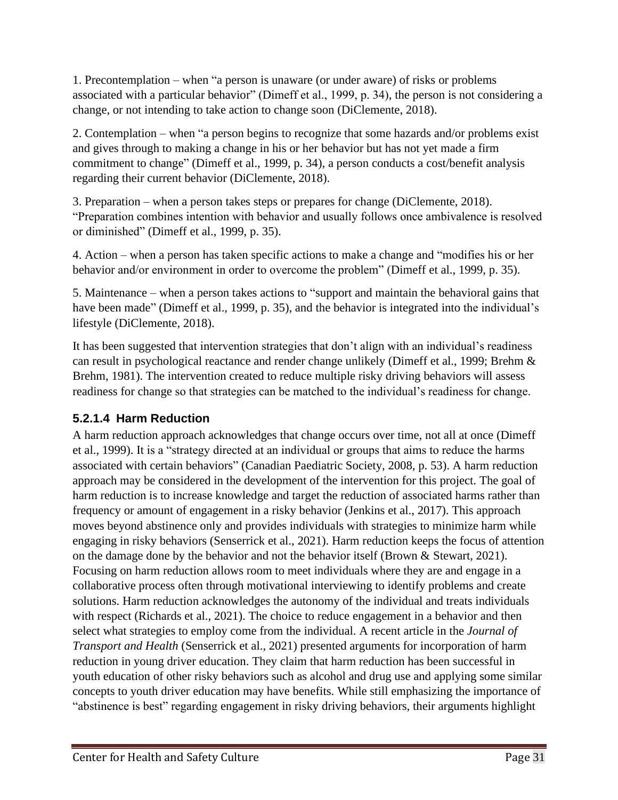1. Precontemplation – when "a person is unaware (or under aware) of risks or problems associated with a particular behavior" (Dimeff et al., 1999, p. 34), the person is not considering a change, or not intending to take action to change soon (DiClemente, 2018).

2. Contemplation – when "a person begins to recognize that some hazards and/or problems exist and gives through to making a change in his or her behavior but has not yet made a firm commitment to change" (Dimeff et al., 1999, p. 34), a person conducts a cost/benefit analysis regarding their current behavior (DiClemente, 2018).

3. Preparation – when a person takes steps or prepares for change (DiClemente, 2018). "Preparation combines intention with behavior and usually follows once ambivalence is resolved or diminished" (Dimeff et al., 1999, p. 35).

4. Action – when a person has taken specific actions to make a change and "modifies his or her behavior and/or environment in order to overcome the problem" (Dimeff et al., 1999, p. 35).

5. Maintenance – when a person takes actions to "support and maintain the behavioral gains that have been made" (Dimeff et al., 1999, p. 35), and the behavior is integrated into the individual's lifestyle (DiClemente, 2018).

It has been suggested that intervention strategies that don't align with an individual's readiness can result in psychological reactance and render change unlikely (Dimeff et al., 1999; Brehm & Brehm, 1981). The intervention created to reduce multiple risky driving behaviors will assess readiness for change so that strategies can be matched to the individual's readiness for change.

#### **5.2.1.4 Harm Reduction**

A harm reduction approach acknowledges that change occurs over time, not all at once (Dimeff et al., 1999). It is a "strategy directed at an individual or groups that aims to reduce the harms associated with certain behaviors" (Canadian Paediatric Society, 2008, p. 53). A harm reduction approach may be considered in the development of the intervention for this project. The goal of harm reduction is to increase knowledge and target the reduction of associated harms rather than frequency or amount of engagement in a risky behavior (Jenkins et al., 2017). This approach moves beyond abstinence only and provides individuals with strategies to minimize harm while engaging in risky behaviors (Senserrick et al., 2021). Harm reduction keeps the focus of attention on the damage done by the behavior and not the behavior itself (Brown & Stewart, 2021). Focusing on harm reduction allows room to meet individuals where they are and engage in a collaborative process often through motivational interviewing to identify problems and create solutions. Harm reduction acknowledges the autonomy of the individual and treats individuals with respect (Richards et al., 2021). The choice to reduce engagement in a behavior and then select what strategies to employ come from the individual. A recent article in the *Journal of Transport and Health* (Senserrick et al., 2021) presented arguments for incorporation of harm reduction in young driver education. They claim that harm reduction has been successful in youth education of other risky behaviors such as alcohol and drug use and applying some similar concepts to youth driver education may have benefits. While still emphasizing the importance of "abstinence is best" regarding engagement in risky driving behaviors, their arguments highlight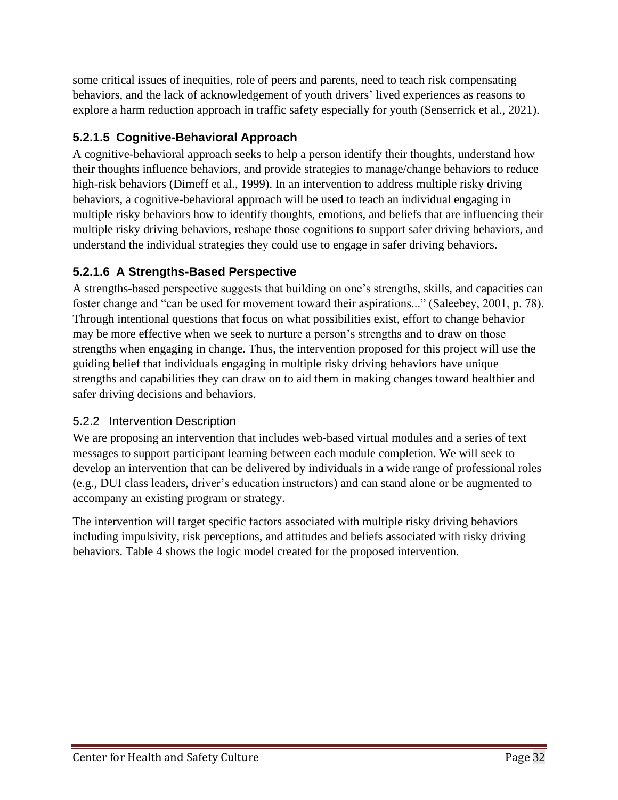some critical issues of inequities, role of peers and parents, need to teach risk compensating behaviors, and the lack of acknowledgement of youth drivers' lived experiences as reasons to explore a harm reduction approach in traffic safety especially for youth (Senserrick et al., 2021).

## **5.2.1.5 Cognitive-Behavioral Approach**

A cognitive-behavioral approach seeks to help a person identify their thoughts, understand how their thoughts influence behaviors, and provide strategies to manage/change behaviors to reduce high-risk behaviors (Dimeff et al., 1999). In an intervention to address multiple risky driving behaviors, a cognitive-behavioral approach will be used to teach an individual engaging in multiple risky behaviors how to identify thoughts, emotions, and beliefs that are influencing their multiple risky driving behaviors, reshape those cognitions to support safer driving behaviors, and understand the individual strategies they could use to engage in safer driving behaviors.

# **5.2.1.6 A Strengths-Based Perspective**

A strengths-based perspective suggests that building on one's strengths, skills, and capacities can foster change and "can be used for movement toward their aspirations..." (Saleebey, 2001, p. 78). Through intentional questions that focus on what possibilities exist, effort to change behavior may be more effective when we seek to nurture a person's strengths and to draw on those strengths when engaging in change. Thus, the intervention proposed for this project will use the guiding belief that individuals engaging in multiple risky driving behaviors have unique strengths and capabilities they can draw on to aid them in making changes toward healthier and safer driving decisions and behaviors.

#### 5.2.2 Intervention Description

We are proposing an intervention that includes web-based virtual modules and a series of text messages to support participant learning between each module completion. We will seek to develop an intervention that can be delivered by individuals in a wide range of professional roles (e.g., DUI class leaders, driver's education instructors) and can stand alone or be augmented to accompany an existing program or strategy.

The intervention will target specific factors associated with multiple risky driving behaviors including impulsivity, risk perceptions, and attitudes and beliefs associated with risky driving behaviors. Table 4 shows the logic model created for the proposed intervention.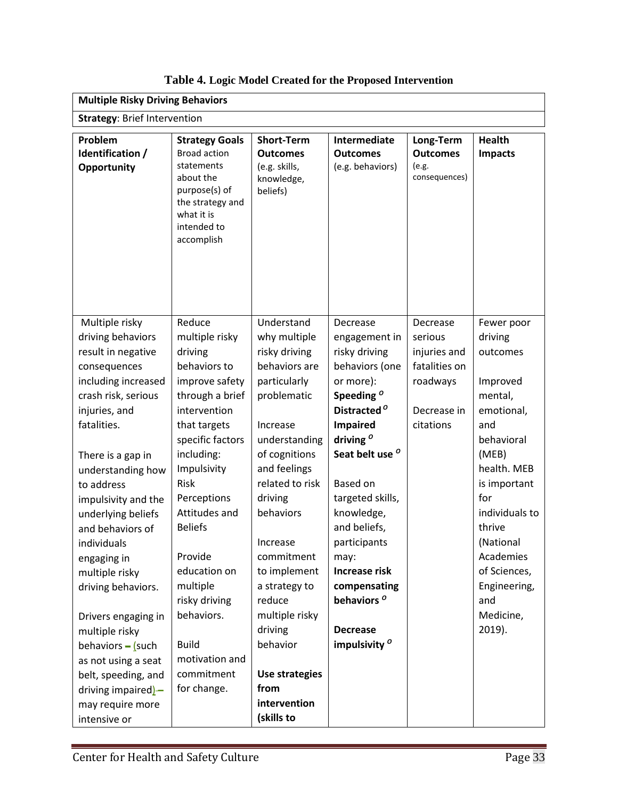<span id="page-32-0"></span>

| <b>Multiple Risky Driving Behaviors</b>                                                                                                                                                                                                                                                                                                                                                                                                                                                                                        |                                                                                                                                                                                                                                                                                                                                                                          |                                                                                                                                                                                                                                                                                                                                                                            |                                                                                                                                                                                                                                                                                                                                                                                                                    |                                                                                              |                                                                                                                                                                                                                                                                |  |  |  |  |  |
|--------------------------------------------------------------------------------------------------------------------------------------------------------------------------------------------------------------------------------------------------------------------------------------------------------------------------------------------------------------------------------------------------------------------------------------------------------------------------------------------------------------------------------|--------------------------------------------------------------------------------------------------------------------------------------------------------------------------------------------------------------------------------------------------------------------------------------------------------------------------------------------------------------------------|----------------------------------------------------------------------------------------------------------------------------------------------------------------------------------------------------------------------------------------------------------------------------------------------------------------------------------------------------------------------------|--------------------------------------------------------------------------------------------------------------------------------------------------------------------------------------------------------------------------------------------------------------------------------------------------------------------------------------------------------------------------------------------------------------------|----------------------------------------------------------------------------------------------|----------------------------------------------------------------------------------------------------------------------------------------------------------------------------------------------------------------------------------------------------------------|--|--|--|--|--|
| <b>Strategy: Brief Intervention</b>                                                                                                                                                                                                                                                                                                                                                                                                                                                                                            |                                                                                                                                                                                                                                                                                                                                                                          |                                                                                                                                                                                                                                                                                                                                                                            |                                                                                                                                                                                                                                                                                                                                                                                                                    |                                                                                              |                                                                                                                                                                                                                                                                |  |  |  |  |  |
| Problem<br>Identification /<br>Opportunity                                                                                                                                                                                                                                                                                                                                                                                                                                                                                     | <b>Strategy Goals</b><br><b>Broad action</b><br>statements<br>about the<br>purpose(s) of<br>the strategy and<br>what it is<br>intended to<br>accomplish                                                                                                                                                                                                                  | <b>Short-Term</b><br><b>Outcomes</b><br>(e.g. skills,<br>knowledge,<br>beliefs)                                                                                                                                                                                                                                                                                            | Intermediate<br><b>Outcomes</b><br>(e.g. behaviors)                                                                                                                                                                                                                                                                                                                                                                | Long-Term<br><b>Outcomes</b><br>(e.g.<br>consequences)                                       | <b>Health</b><br><b>Impacts</b>                                                                                                                                                                                                                                |  |  |  |  |  |
| Multiple risky<br>driving behaviors<br>result in negative<br>consequences<br>including increased<br>crash risk, serious<br>injuries, and<br>fatalities.<br>There is a gap in<br>understanding how<br>to address<br>impulsivity and the<br>underlying beliefs<br>and behaviors of<br>individuals<br>engaging in<br>multiple risky<br>driving behaviors.<br>Drivers engaging in<br>multiple risky<br>behaviors $-$ (such<br>as not using a seat<br>belt, speeding, and<br>driving impaired)-<br>may require more<br>intensive or | Reduce<br>multiple risky<br>driving<br>behaviors to<br>improve safety<br>through a brief<br>intervention<br>that targets<br>specific factors<br>including:<br>Impulsivity<br>Risk<br>Perceptions<br>Attitudes and<br><b>Beliefs</b><br>Provide<br>education on<br>multiple<br>risky driving<br>behaviors.<br><b>Build</b><br>motivation and<br>commitment<br>for change. | Understand<br>why multiple<br>risky driving<br>behaviors are<br>particularly<br>problematic<br>Increase<br>understanding<br>of cognitions<br>and feelings<br>related to risk<br>driving<br>behaviors<br>Increase<br>commitment<br>to implement<br>a strategy to<br>reduce<br>multiple risky<br>driving<br>behavior<br>Use strategies<br>from<br>intervention<br>(skills to | Decrease<br>engagement in<br>risky driving<br>behaviors (one<br>or more):<br>Speeding <sup>o</sup><br>Distracted <sup>o</sup><br><b>Impaired</b><br>driving $^{\circ}$<br>Seat belt use <sup>o</sup><br><b>Based on</b><br>targeted skills,<br>knowledge,<br>and beliefs,<br>participants<br>may:<br><b>Increase risk</b><br>compensating<br>behaviors <sup>o</sup><br><b>Decrease</b><br>impulsivity <sup>o</sup> | Decrease<br>serious<br>injuries and<br>fatalities on<br>roadways<br>Decrease in<br>citations | Fewer poor<br>driving<br>outcomes<br>Improved<br>mental,<br>emotional,<br>and<br>behavioral<br>(MEB)<br>health. MEB<br>is important<br>for<br>individuals to<br>thrive<br>(National<br>Academies<br>of Sciences,<br>Engineering,<br>and<br>Medicine,<br>2019). |  |  |  |  |  |

**Table 4. Logic Model Created for the Proposed Intervention**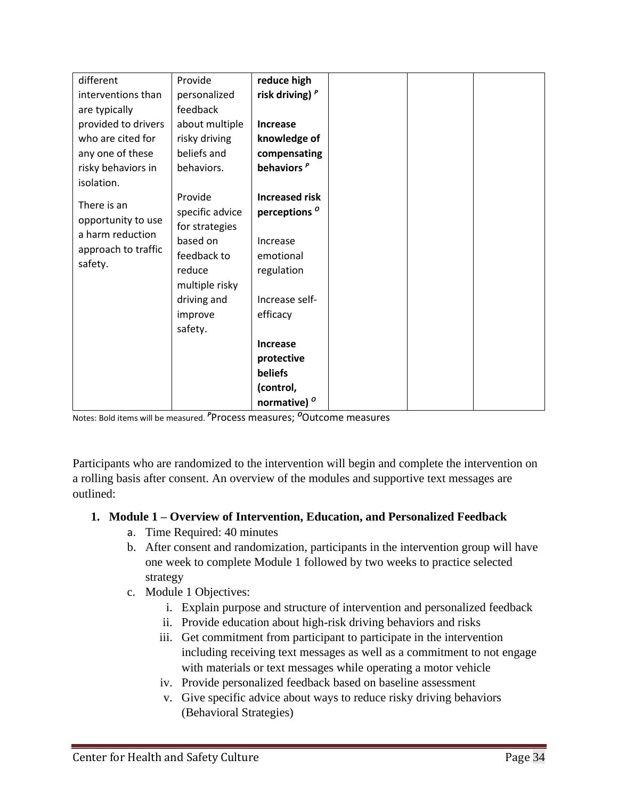| different           | Provide         | reduce high              |  |  |
|---------------------|-----------------|--------------------------|--|--|
| interventions than  | personalized    | risk driving) $P$        |  |  |
| are typically       | feedback        |                          |  |  |
| provided to drivers | about multiple  | Increase                 |  |  |
| who are cited for   | risky driving   | knowledge of             |  |  |
| any one of these    | beliefs and     | compensating             |  |  |
| risky behaviors in  | behaviors.      | behaviors <sup>P</sup>   |  |  |
| isolation.          |                 |                          |  |  |
|                     | Provide         | <b>Increased risk</b>    |  |  |
| There is an         | specific advice | perceptions <sup>o</sup> |  |  |
| opportunity to use  | for strategies  |                          |  |  |
| a harm reduction    | based on        | Increase                 |  |  |
| approach to traffic | feedback to     | emotional                |  |  |
| safety.             | reduce          | regulation               |  |  |
|                     | multiple risky  |                          |  |  |
|                     | driving and     | Increase self-           |  |  |
|                     | improve         | efficacy                 |  |  |
|                     | safety.         |                          |  |  |
|                     |                 | Increase                 |  |  |
|                     |                 | protective               |  |  |
|                     |                 | beliefs                  |  |  |
|                     |                 | (control,                |  |  |
|                     |                 | normative) <sup>o</sup>  |  |  |

Notes: Bold items will be measured. *<sup>P</sup>*Process measures; *<sup>O</sup>*Outcome measures

Participants who are randomized to the intervention will begin and complete the intervention on a rolling basis after consent. An overview of the modules and supportive text messages are outlined:

#### **1. Module 1 – Overview of Intervention, Education, and Personalized Feedback**

- a. Time Required: 40 minutes
- b. After consent and randomization, participants in the intervention group will have one week to complete Module 1 followed by two weeks to practice selected strategy
- c. Module 1 Objectives:
	- i. Explain purpose and structure of intervention and personalized feedback
	- ii. Provide education about high-risk driving behaviors and risks
	- iii. Get commitment from participant to participate in the intervention including receiving text messages as well as a commitment to not engage with materials or text messages while operating a motor vehicle
	- iv. Provide personalized feedback based on baseline assessment
	- v. Give specific advice about ways to reduce risky driving behaviors (Behavioral Strategies)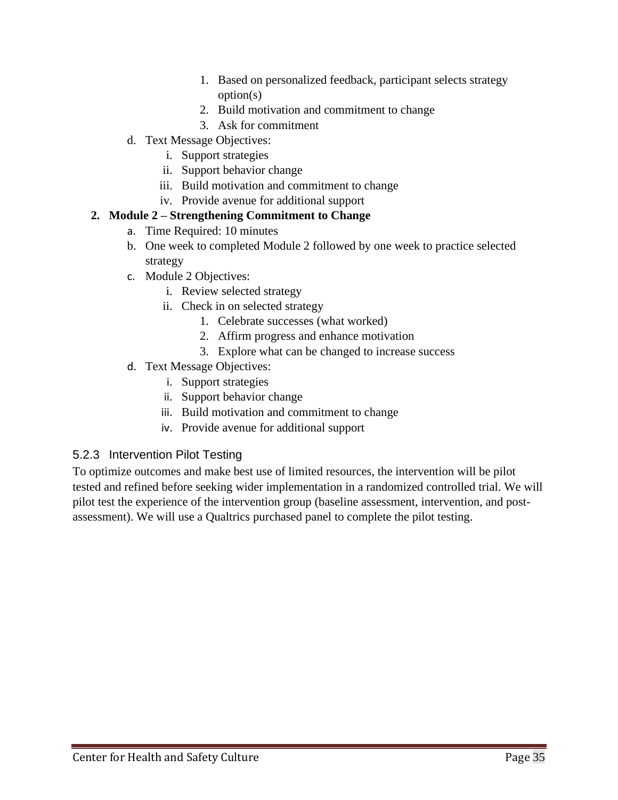- 1. Based on personalized feedback, participant selects strategy option(s)
- 2. Build motivation and commitment to change
- 3. Ask for commitment
- d. Text Message Objectives:
	- i. Support strategies
	- ii. Support behavior change
	- iii. Build motivation and commitment to change
	- iv. Provide avenue for additional support

#### **2. Module 2 – Strengthening Commitment to Change**

- a. Time Required: 10 minutes
- b. One week to completed Module 2 followed by one week to practice selected strategy
- c. Module 2 Objectives:
	- i. Review selected strategy
	- ii. Check in on selected strategy
		- 1. Celebrate successes (what worked)
		- 2. Affirm progress and enhance motivation
		- 3. Explore what can be changed to increase success
- d. Text Message Objectives:
	- i. Support strategies
	- ii. Support behavior change
	- iii. Build motivation and commitment to change
	- iv. Provide avenue for additional support

#### 5.2.3 Intervention Pilot Testing

To optimize outcomes and make best use of limited resources, the intervention will be pilot tested and refined before seeking wider implementation in a randomized controlled trial. We will pilot test the experience of the intervention group (baseline assessment, intervention, and postassessment). We will use a Qualtrics purchased panel to complete the pilot testing.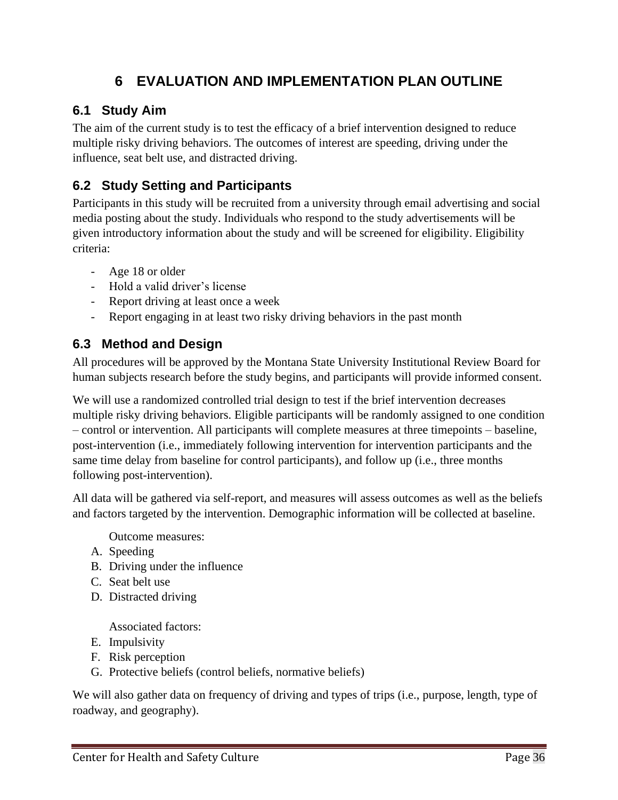# **6 EVALUATION AND IMPLEMENTATION PLAN OUTLINE**

# <span id="page-35-1"></span><span id="page-35-0"></span>**6.1 Study Aim**

The aim of the current study is to test the efficacy of a brief intervention designed to reduce multiple risky driving behaviors. The outcomes of interest are speeding, driving under the influence, seat belt use, and distracted driving.

# <span id="page-35-2"></span>**6.2 Study Setting and Participants**

Participants in this study will be recruited from a university through email advertising and social media posting about the study. Individuals who respond to the study advertisements will be given introductory information about the study and will be screened for eligibility. Eligibility criteria:

- Age 18 or older
- Hold a valid driver's license
- Report driving at least once a week
- Report engaging in at least two risky driving behaviors in the past month

## <span id="page-35-3"></span>**6.3 Method and Design**

All procedures will be approved by the Montana State University Institutional Review Board for human subjects research before the study begins, and participants will provide informed consent.

We will use a randomized controlled trial design to test if the brief intervention decreases multiple risky driving behaviors. Eligible participants will be randomly assigned to one condition – control or intervention. All participants will complete measures at three timepoints – baseline, post-intervention (i.e., immediately following intervention for intervention participants and the same time delay from baseline for control participants), and follow up (i.e., three months following post-intervention).

All data will be gathered via self-report, and measures will assess outcomes as well as the beliefs and factors targeted by the intervention. Demographic information will be collected at baseline.

Outcome measures:

- A. Speeding
- B. Driving under the influence
- C. Seat belt use
- D. Distracted driving

Associated factors:

- E. Impulsivity
- F. Risk perception
- G. Protective beliefs (control beliefs, normative beliefs)

We will also gather data on frequency of driving and types of trips (i.e., purpose, length, type of roadway, and geography).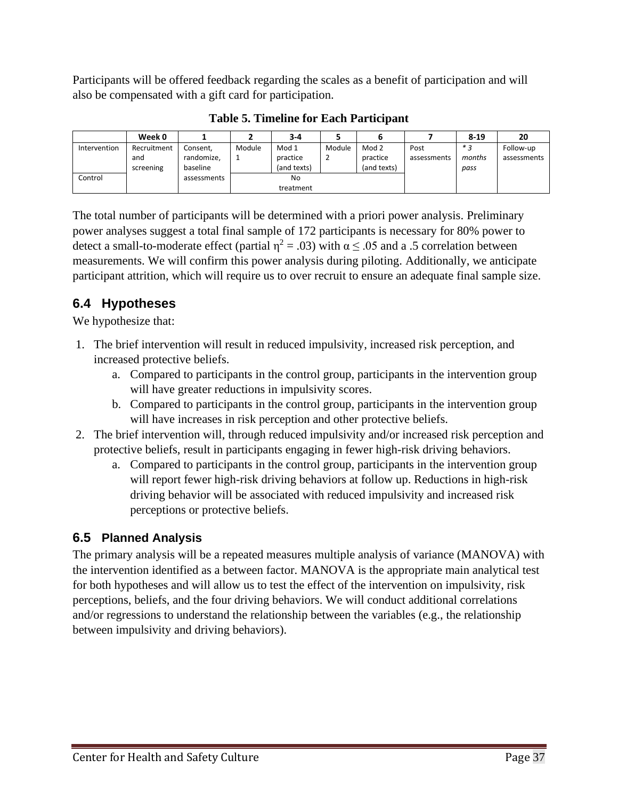Participants will be offered feedback regarding the scales as a benefit of participation and will also be compensated with a gift card for participation.

<span id="page-36-2"></span>

|              | Week 0      |             |        | 3-4         |        |                  |             | $8 - 19$ | 20          |
|--------------|-------------|-------------|--------|-------------|--------|------------------|-------------|----------|-------------|
| Intervention | Recruitment | Consent.    | Module | Mod 1       | Module | Mod <sub>2</sub> | Post        | $*2$     | Follow-up   |
|              | and         | randomize,  | ٠.     | practice    | -      | practice         | assessments | months   | assessments |
|              | screening   | baseline    |        | (and texts) |        | (and texts)      |             | pass     |             |
| Control      |             | assessments |        | No          |        |                  |             |          |             |
|              |             |             |        | treatment   |        |                  |             |          |             |

**Table 5. Timeline for Each Participant**

The total number of participants will be determined with a priori power analysis. Preliminary power analyses suggest a total final sample of 172 participants is necessary for 80% power to detect a small-to-moderate effect (partial  $\eta^2 = .03$ ) with  $\alpha \le .05$  and a .5 correlation between measurements. We will confirm this power analysis during piloting. Additionally, we anticipate participant attrition, which will require us to over recruit to ensure an adequate final sample size.

# <span id="page-36-0"></span>**6.4 Hypotheses**

We hypothesize that:

- 1. The brief intervention will result in reduced impulsivity, increased risk perception, and increased protective beliefs.
	- a. Compared to participants in the control group, participants in the intervention group will have greater reductions in impulsivity scores.
	- b. Compared to participants in the control group, participants in the intervention group will have increases in risk perception and other protective beliefs.
- 2. The brief intervention will, through reduced impulsivity and/or increased risk perception and protective beliefs, result in participants engaging in fewer high-risk driving behaviors.
	- a. Compared to participants in the control group, participants in the intervention group will report fewer high-risk driving behaviors at follow up. Reductions in high-risk driving behavior will be associated with reduced impulsivity and increased risk perceptions or protective beliefs.

# <span id="page-36-1"></span>**6.5 Planned Analysis**

The primary analysis will be a repeated measures multiple analysis of variance (MANOVA) with the intervention identified as a between factor. MANOVA is the appropriate main analytical test for both hypotheses and will allow us to test the effect of the intervention on impulsivity, risk perceptions, beliefs, and the four driving behaviors. We will conduct additional correlations and/or regressions to understand the relationship between the variables (e.g., the relationship between impulsivity and driving behaviors).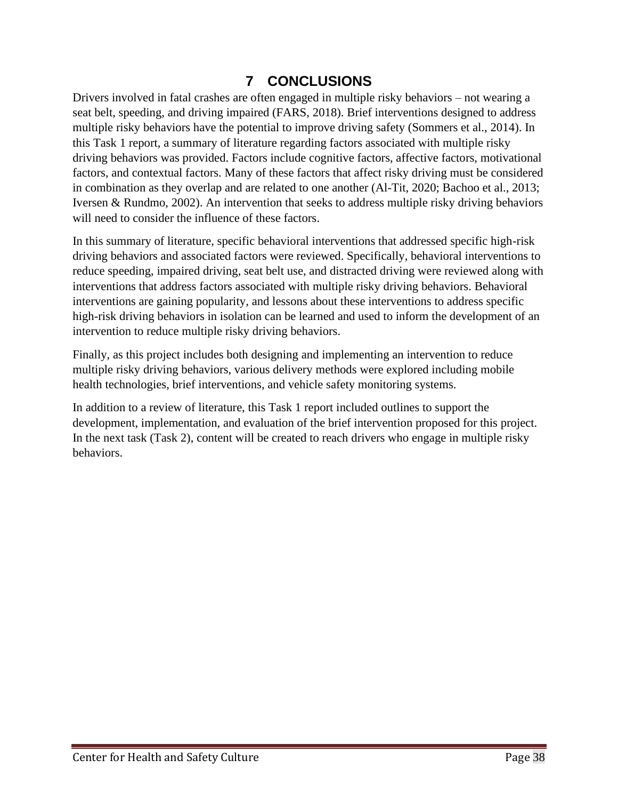# **7 CONCLUSIONS**

<span id="page-37-0"></span>Drivers involved in fatal crashes are often engaged in multiple risky behaviors – not wearing a seat belt, speeding, and driving impaired (FARS, 2018). Brief interventions designed to address multiple risky behaviors have the potential to improve driving safety (Sommers et al., 2014). In this Task 1 report, a summary of literature regarding factors associated with multiple risky driving behaviors was provided. Factors include cognitive factors, affective factors, motivational factors, and contextual factors. Many of these factors that affect risky driving must be considered in combination as they overlap and are related to one another (Al-Tit, 2020; Bachoo et al., 2013; Iversen & Rundmo, 2002). An intervention that seeks to address multiple risky driving behaviors will need to consider the influence of these factors.

In this summary of literature, specific behavioral interventions that addressed specific high-risk driving behaviors and associated factors were reviewed. Specifically, behavioral interventions to reduce speeding, impaired driving, seat belt use, and distracted driving were reviewed along with interventions that address factors associated with multiple risky driving behaviors. Behavioral interventions are gaining popularity, and lessons about these interventions to address specific high-risk driving behaviors in isolation can be learned and used to inform the development of an intervention to reduce multiple risky driving behaviors.

Finally, as this project includes both designing and implementing an intervention to reduce multiple risky driving behaviors, various delivery methods were explored including mobile health technologies, brief interventions, and vehicle safety monitoring systems.

In addition to a review of literature, this Task 1 report included outlines to support the development, implementation, and evaluation of the brief intervention proposed for this project. In the next task (Task 2), content will be created to reach drivers who engage in multiple risky behaviors.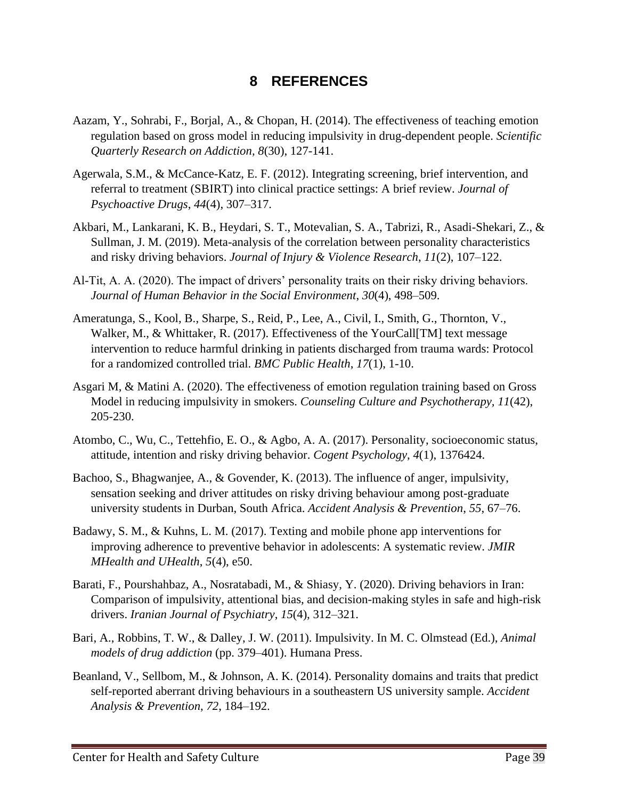## **8 REFERENCES**

- <span id="page-38-0"></span>Aazam, Y., Sohrabi, F., Borjal, A., & Chopan, H. (2014). The effectiveness of teaching emotion regulation based on gross model in reducing impulsivity in drug-dependent people. *Scientific Quarterly Research on Addiction, 8*(30), 127-141.
- Agerwala, S.M., & McCance-Katz, E. F. (2012). Integrating screening, brief intervention, and referral to treatment (SBIRT) into clinical practice settings: A brief review. *Journal of Psychoactive Drugs*, *44*(4), 307–317.
- Akbari, M., Lankarani, K. B., Heydari, S. T., Motevalian, S. A., Tabrizi, R., Asadi-Shekari, Z., & Sullman, J. M. (2019). Meta-analysis of the correlation between personality characteristics and risky driving behaviors. *Journal of Injury & Violence Research*, *11*(2), 107–122.
- Al-Tit, A. A. (2020). The impact of drivers' personality traits on their risky driving behaviors. *Journal of Human Behavior in the Social Environment*, *30*(4), 498–509.
- Ameratunga, S., Kool, B., Sharpe, S., Reid, P., Lee, A., Civil, I., Smith, G., Thornton, V., Walker, M., & Whittaker, R. (2017). Effectiveness of the YourCall[TM] text message intervention to reduce harmful drinking in patients discharged from trauma wards: Protocol for a randomized controlled trial. *BMC Public Health*, *17*(1), 1-10.
- Asgari M, & Matini A. (2020). The effectiveness of emotion regulation training based on Gross Model in reducing impulsivity in smokers. *Counseling Culture and Psychotherapy, 11*(42), 205-230.
- Atombo, C., Wu, C., Tettehfio, E. O., & Agbo, A. A. (2017). Personality, socioeconomic status, attitude, intention and risky driving behavior. *Cogent Psychology*, *4*(1), 1376424.
- Bachoo, S., Bhagwanjee, A., & Govender, K. (2013). The influence of anger, impulsivity, sensation seeking and driver attitudes on risky driving behaviour among post-graduate university students in Durban, South Africa. *Accident Analysis & Prevention*, *55*, 67–76.
- Badawy, S. M., & Kuhns, L. M. (2017). Texting and mobile phone app interventions for improving adherence to preventive behavior in adolescents: A systematic review. *JMIR MHealth and UHealth*, *5*(4), e50.
- Barati, F., Pourshahbaz, A., Nosratabadi, M., & Shiasy, Y. (2020). Driving behaviors in Iran: Comparison of impulsivity, attentional bias, and decision-making styles in safe and high-risk drivers. *Iranian Journal of Psychiatry*, *15*(4), 312–321.
- Bari, A., Robbins, T. W., & Dalley, J. W. (2011). Impulsivity. In M. C. Olmstead (Ed.), *Animal models of drug addiction* (pp. 379–401). Humana Press.
- Beanland, V., Sellbom, M., & Johnson, A. K. (2014). Personality domains and traits that predict self-reported aberrant driving behaviours in a southeastern US university sample. *Accident Analysis & Prevention*, *72*, 184–192.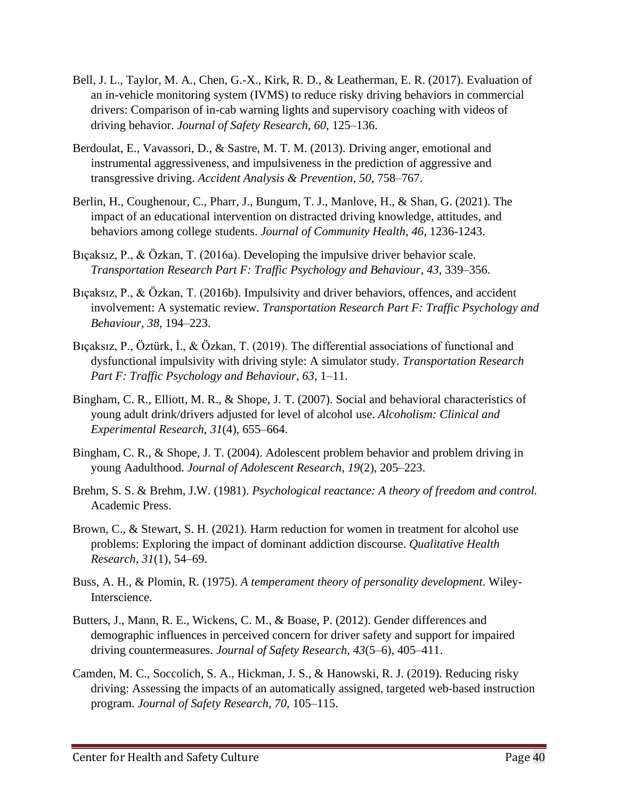- Bell, J. L., Taylor, M. A., Chen, G.-X., Kirk, R. D., & Leatherman, E. R. (2017). Evaluation of an in-vehicle monitoring system (IVMS) to reduce risky driving behaviors in commercial drivers: Comparison of in-cab warning lights and supervisory coaching with videos of driving behavior. *Journal of Safety Research*, *60*, 125–136.
- Berdoulat, E., Vavassori, D., & Sastre, M. T. M. (2013). Driving anger, emotional and instrumental aggressiveness, and impulsiveness in the prediction of aggressive and transgressive driving. *Accident Analysis & Prevention*, *50*, 758–767.
- Berlin, H., Coughenour, C., Pharr, J., Bungum, T. J., Manlove, H., & Shan, G. (2021). The impact of an educational intervention on distracted driving knowledge, attitudes, and behaviors among college students. *Journal of Community Health, 46,* 1236-1243.
- Bıçaksız, P., & Özkan, T. (2016a). Developing the impulsive driver behavior scale. *Transportation Research Part F: Traffic Psychology and Behaviour*, *43*, 339–356.
- Bıçaksız, P., & Özkan, T. (2016b). Impulsivity and driver behaviors, offences, and accident involvement: A systematic review. *Transportation Research Part F: Traffic Psychology and Behaviour*, *38*, 194–223.
- Bıçaksız, P., Öztürk, İ., & Özkan, T. (2019). The differential associations of functional and dysfunctional impulsivity with driving style: A simulator study. *Transportation Research Part F: Traffic Psychology and Behaviour*, *63*, 1–11.
- Bingham, C. R., Elliott, M. R., & Shope, J. T. (2007). Social and behavioral characteristics of young adult drink/drivers adjusted for level of alcohol use. *Alcoholism: Clinical and Experimental Research*, *31*(4), 655–664.
- Bingham, C. R., & Shope, J. T. (2004). Adolescent problem behavior and problem driving in young Aadulthood. *Journal of Adolescent Research*, *19*(2), 205–223.
- Brehm, S. S. & Brehm, J.W. (1981). *Psychological reactance: A theory of freedom and control.*  Academic Press.
- Brown, C., & Stewart, S. H. (2021). Harm reduction for women in treatment for alcohol use problems: Exploring the impact of dominant addiction discourse. *Qualitative Health Research*, *31*(1), 54–69.
- Buss, A. H., & Plomin, R. (1975). *A temperament theory of personality development*. Wiley-Interscience.
- Butters, J., Mann, R. E., Wickens, C. M., & Boase, P. (2012). Gender differences and demographic influences in perceived concern for driver safety and support for impaired driving countermeasures. *Journal of Safety Research*, *43*(5–6), 405–411.
- Camden, M. C., Soccolich, S. A., Hickman, J. S., & Hanowski, R. J. (2019). Reducing risky driving: Assessing the impacts of an automatically assigned, targeted web-based instruction program. *Journal of Safety Research, 70,* 105–115.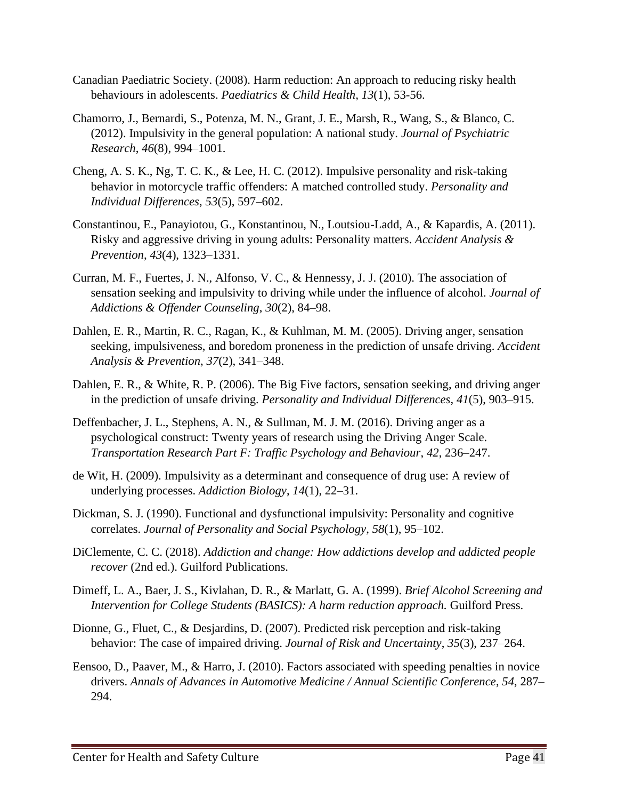- Canadian Paediatric Society. (2008). Harm reduction: An approach to reducing risky health behaviours in adolescents. *Paediatrics & Child Health, 13*(1), 53-56.
- Chamorro, J., Bernardi, S., Potenza, M. N., Grant, J. E., Marsh, R., Wang, S., & Blanco, C. (2012). Impulsivity in the general population: A national study. *Journal of Psychiatric Research*, *46*(8), 994–1001.
- Cheng, A. S. K., Ng, T. C. K., & Lee, H. C. (2012). Impulsive personality and risk-taking behavior in motorcycle traffic offenders: A matched controlled study. *Personality and Individual Differences*, *53*(5), 597–602.
- Constantinou, E., Panayiotou, G., Konstantinou, N., Loutsiou-Ladd, A., & Kapardis, A. (2011). Risky and aggressive driving in young adults: Personality matters. *Accident Analysis & Prevention*, *43*(4), 1323–1331.
- Curran, M. F., Fuertes, J. N., Alfonso, V. C., & Hennessy, J. J. (2010). The association of sensation seeking and impulsivity to driving while under the influence of alcohol. *Journal of Addictions & Offender Counseling*, *30*(2), 84–98.
- Dahlen, E. R., Martin, R. C., Ragan, K., & Kuhlman, M. M. (2005). Driving anger, sensation seeking, impulsiveness, and boredom proneness in the prediction of unsafe driving. *Accident Analysis & Prevention*, *37*(2), 341–348.
- Dahlen, E. R., & White, R. P. (2006). The Big Five factors, sensation seeking, and driving anger in the prediction of unsafe driving. *Personality and Individual Differences*, *41*(5), 903–915.
- Deffenbacher, J. L., Stephens, A. N., & Sullman, M. J. M. (2016). Driving anger as a psychological construct: Twenty years of research using the Driving Anger Scale. *Transportation Research Part F: Traffic Psychology and Behaviour*, *42*, 236–247.
- de Wit, H. (2009). Impulsivity as a determinant and consequence of drug use: A review of underlying processes. *Addiction Biology*, *14*(1), 22–31.
- Dickman, S. J. (1990). Functional and dysfunctional impulsivity: Personality and cognitive correlates. *Journal of Personality and Social Psychology*, *58*(1), 95–102.
- DiClemente, C. C. (2018). *Addiction and change: How addictions develop and addicted people recover* (2nd ed.). Guilford Publications.
- Dimeff, L. A., Baer, J. S., Kivlahan, D. R., & Marlatt, G. A. (1999). *Brief Alcohol Screening and Intervention for College Students (BASICS): A harm reduction approach.* Guilford Press.
- Dionne, G., Fluet, C., & Desjardins, D. (2007). Predicted risk perception and risk-taking behavior: The case of impaired driving. *Journal of Risk and Uncertainty*, *35*(3), 237–264.
- Eensoo, D., Paaver, M., & Harro, J. (2010). Factors associated with speeding penalties in novice drivers. *Annals of Advances in Automotive Medicine / Annual Scientific Conference*, *54*, 287– 294.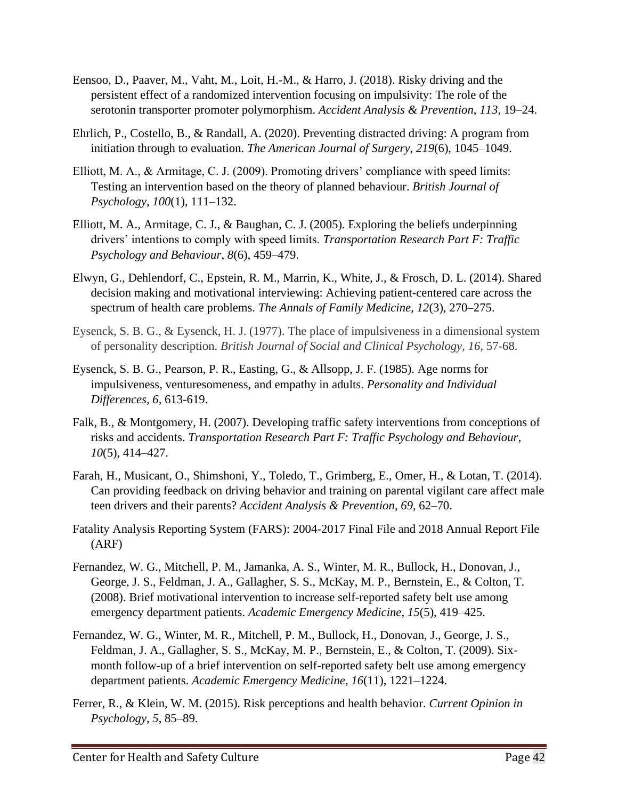- Eensoo, D., Paaver, M., Vaht, M., Loit, H.-M., & Harro, J. (2018). Risky driving and the persistent effect of a randomized intervention focusing on impulsivity: The role of the serotonin transporter promoter polymorphism. *Accident Analysis & Prevention*, *113*, 19–24.
- Ehrlich, P., Costello, B., & Randall, A. (2020). Preventing distracted driving: A program from initiation through to evaluation. *The American Journal of Surgery*, *219*(6), 1045–1049.
- Elliott, M. A., & Armitage, C. J. (2009). Promoting drivers' compliance with speed limits: Testing an intervention based on the theory of planned behaviour. *British Journal of Psychology*, *100*(1), 111–132.
- Elliott, M. A., Armitage, C. J., & Baughan, C. J. (2005). Exploring the beliefs underpinning drivers' intentions to comply with speed limits. *Transportation Research Part F: Traffic Psychology and Behaviour*, *8*(6), 459–479.
- Elwyn, G., Dehlendorf, C., Epstein, R. M., Marrin, K., White, J., & Frosch, D. L. (2014). Shared decision making and motivational interviewing: Achieving patient-centered care across the spectrum of health care problems. *The Annals of Family Medicine*, *12*(3), 270–275.
- Eysenck, S. B. G., & Eysenck, H. J. (1977). The place of impulsiveness in a dimensional system of personality description. *British Journal of Social and Clinical Psychology, 16,* 57-68.
- Eysenck, S. B. G., Pearson, P. R., Easting, G., & Allsopp, J. F. (1985). Age norms for impulsiveness, venturesomeness, and empathy in adults. *Personality and Individual Differences, 6*, 613-619.
- Falk, B., & Montgomery, H. (2007). Developing traffic safety interventions from conceptions of risks and accidents. *Transportation Research Part F: Traffic Psychology and Behaviour*, *10*(5), 414–427.
- Farah, H., Musicant, O., Shimshoni, Y., Toledo, T., Grimberg, E., Omer, H., & Lotan, T. (2014). Can providing feedback on driving behavior and training on parental vigilant care affect male teen drivers and their parents? *Accident Analysis & Prevention*, *69*, 62–70.
- Fatality Analysis Reporting System (FARS): 2004-2017 Final File and 2018 Annual Report File (ARF)
- Fernandez, W. G., Mitchell, P. M., Jamanka, A. S., Winter, M. R., Bullock, H., Donovan, J., George, J. S., Feldman, J. A., Gallagher, S. S., McKay, M. P., Bernstein, E., & Colton, T. (2008). Brief motivational intervention to increase self-reported safety belt use among emergency department patients. *Academic Emergency Medicine*, *15*(5), 419–425.
- Fernandez, W. G., Winter, M. R., Mitchell, P. M., Bullock, H., Donovan, J., George, J. S., Feldman, J. A., Gallagher, S. S., McKay, M. P., Bernstein, E., & Colton, T. (2009). Sixmonth follow-up of a brief intervention on self-reported safety belt use among emergency department patients. *Academic Emergency Medicine*, *16*(11), 1221–1224.
- Ferrer, R., & Klein, W. M. (2015). Risk perceptions and health behavior. *Current Opinion in Psychology*, *5*, 85–89.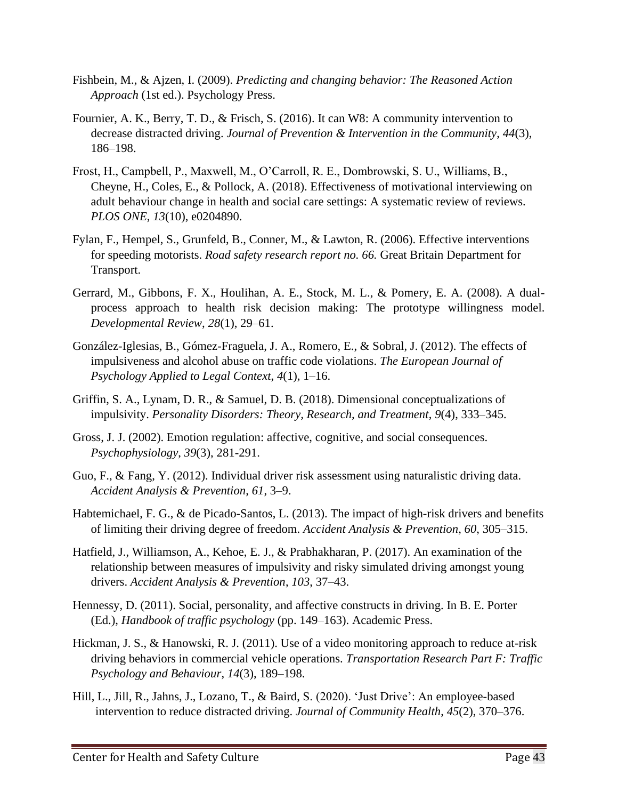- Fishbein, M., & Ajzen, I. (2009). *Predicting and changing behavior: The Reasoned Action Approach* (1st ed.). Psychology Press.
- Fournier, A. K., Berry, T. D., & Frisch, S. (2016). It can W8: A community intervention to decrease distracted driving. *Journal of Prevention & Intervention in the Community*, *44*(3), 186–198.
- Frost, H., Campbell, P., Maxwell, M., O'Carroll, R. E., Dombrowski, S. U., Williams, B., Cheyne, H., Coles, E., & Pollock, A. (2018). Effectiveness of motivational interviewing on adult behaviour change in health and social care settings: A systematic review of reviews. *PLOS ONE*, *13*(10), e0204890.
- Fylan, F., Hempel, S., Grunfeld, B., Conner, M., & Lawton, R. (2006). Effective interventions for speeding motorists. *Road safety research report no. 66.* Great Britain Department for Transport.
- Gerrard, M., Gibbons, F. X., Houlihan, A. E., Stock, M. L., & Pomery, E. A. (2008). A dualprocess approach to health risk decision making: The prototype willingness model. *Developmental Review*, *28*(1), 29–61.
- González-Iglesias, B., Gómez-Fraguela, J. A., Romero, E., & Sobral, J. (2012). The effects of impulsiveness and alcohol abuse on traffic code violations. *The European Journal of Psychology Applied to Legal Context*, *4*(1), 1–16.
- Griffin, S. A., Lynam, D. R., & Samuel, D. B. (2018). Dimensional conceptualizations of impulsivity. *Personality Disorders: Theory, Research, and Treatment*, *9*(4), 333–345.
- Gross, J. J. (2002). Emotion regulation: affective, cognitive, and social consequences. *Psychophysiology*, *39*(3), 281-291.
- Guo, F., & Fang, Y. (2012). Individual driver risk assessment using naturalistic driving data. *Accident Analysis & Prevention*, *61*, 3–9.
- Habtemichael, F. G., & de Picado-Santos, L. (2013). The impact of high-risk drivers and benefits of limiting their driving degree of freedom. *Accident Analysis & Prevention*, *60*, 305–315.
- Hatfield, J., Williamson, A., Kehoe, E. J., & Prabhakharan, P. (2017). An examination of the relationship between measures of impulsivity and risky simulated driving amongst young drivers. *Accident Analysis & Prevention*, *103*, 37–43.
- Hennessy, D. (2011). Social, personality, and affective constructs in driving. In B. E. Porter (Ed.), *Handbook of traffic psychology* (pp. 149–163). Academic Press.
- Hickman, J. S., & Hanowski, R. J. (2011). Use of a video monitoring approach to reduce at-risk driving behaviors in commercial vehicle operations. *Transportation Research Part F: Traffic Psychology and Behaviour*, *14*(3), 189–198.
- Hill, L., Jill, R., Jahns, J., Lozano, T., & Baird, S. (2020). 'Just Drive': An employee-based intervention to reduce distracted driving. *Journal of Community Health*, *45*(2), 370–376.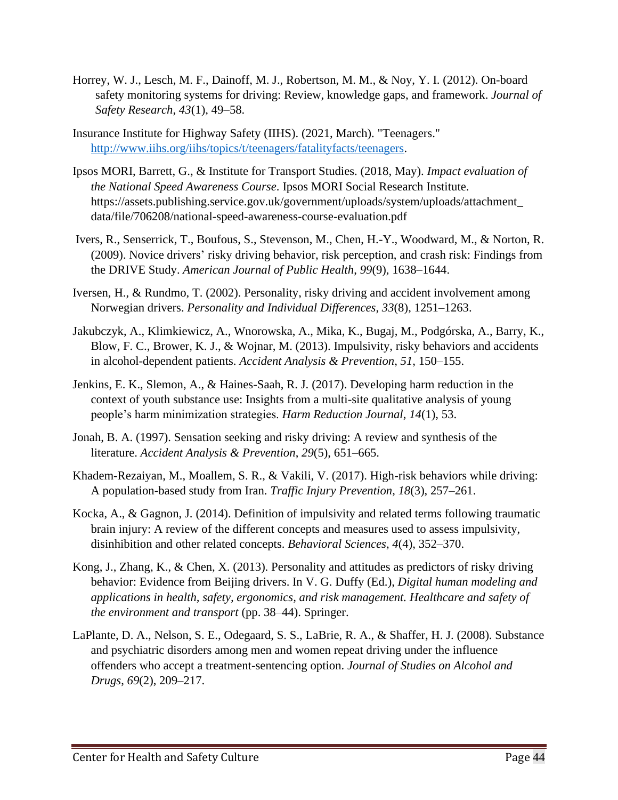- Horrey, W. J., Lesch, M. F., Dainoff, M. J., Robertson, M. M., & Noy, Y. I. (2012). On-board safety monitoring systems for driving: Review, knowledge gaps, and framework. *Journal of Safety Research*, *43*(1), 49–58.
- Insurance Institute for Highway Safety (IIHS). (2021, March). "Teenagers." [http://www.iihs.org/iihs/topics/t/teenagers/fatalityfacts/teenagers.](http://www.iihs.org/iihs/topics/t/teenagers/fatalityfacts/teenagers)
- Ipsos MORI, Barrett, G., & Institute for Transport Studies. (2018, May). *Impact evaluation of the National Speed Awareness Course*. Ipsos MORI Social Research Institute. https://assets.publishing.service.gov.uk/government/uploads/system/uploads/attachment\_ data/file/706208/national-speed-awareness-course-evaluation.pdf
- Ivers, R., Senserrick, T., Boufous, S., Stevenson, M., Chen, H.-Y., Woodward, M., & Norton, R. (2009). Novice drivers' risky driving behavior, risk perception, and crash risk: Findings from the DRIVE Study. *American Journal of Public Health*, *99*(9), 1638–1644.
- Iversen, H., & Rundmo, T. (2002). Personality, risky driving and accident involvement among Norwegian drivers. *Personality and Individual Differences*, *33*(8), 1251–1263.
- Jakubczyk, A., Klimkiewicz, A., Wnorowska, A., Mika, K., Bugaj, M., Podgórska, A., Barry, K., Blow, F. C., Brower, K. J., & Wojnar, M. (2013). Impulsivity, risky behaviors and accidents in alcohol-dependent patients. *Accident Analysis & Prevention*, *51*, 150–155.
- Jenkins, E. K., Slemon, A., & Haines-Saah, R. J. (2017). Developing harm reduction in the context of youth substance use: Insights from a multi-site qualitative analysis of young people's harm minimization strategies. *Harm Reduction Journal*, *14*(1), 53.
- Jonah, B. A. (1997). Sensation seeking and risky driving: A review and synthesis of the literature. *Accident Analysis & Prevention*, *29*(5), 651–665.
- Khadem-Rezaiyan, M., Moallem, S. R., & Vakili, V. (2017). High-risk behaviors while driving: A population-based study from Iran. *Traffic Injury Prevention*, *18*(3), 257–261.
- Kocka, A., & Gagnon, J. (2014). Definition of impulsivity and related terms following traumatic brain injury: A review of the different concepts and measures used to assess impulsivity, disinhibition and other related concepts. *Behavioral Sciences*, *4*(4), 352–370.
- Kong, J., Zhang, K., & Chen, X. (2013). Personality and attitudes as predictors of risky driving behavior: Evidence from Beijing drivers. In V. G. Duffy (Ed.), *Digital human modeling and applications in health, safety, ergonomics, and risk management. Healthcare and safety of the environment and transport* (pp. 38–44). Springer.
- LaPlante, D. A., Nelson, S. E., Odegaard, S. S., LaBrie, R. A., & Shaffer, H. J. (2008). Substance and psychiatric disorders among men and women repeat driving under the influence offenders who accept a treatment-sentencing option. *Journal of Studies on Alcohol and Drugs*, *69*(2), 209–217.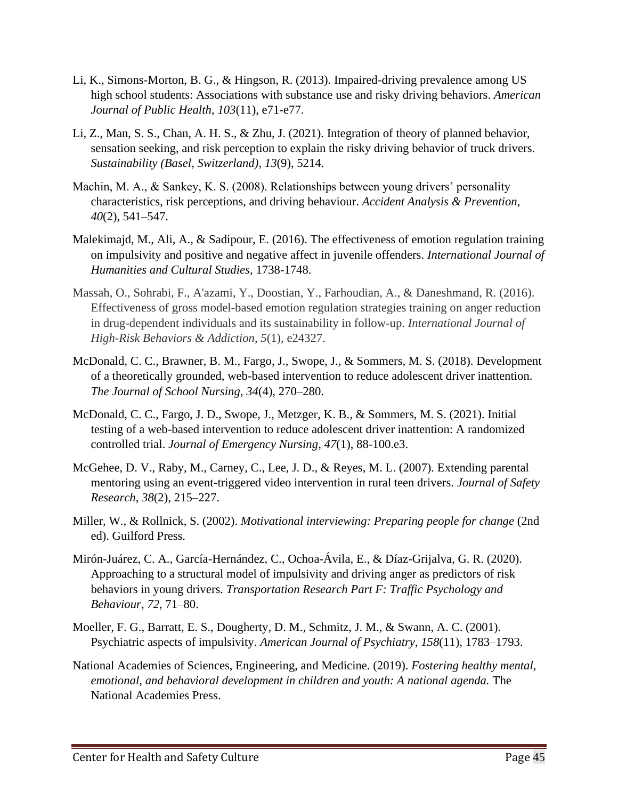- Li, K., Simons-Morton, B. G., & Hingson, R. (2013). Impaired-driving prevalence among US high school students: Associations with substance use and risky driving behaviors. *American Journal of Public Health*, *103*(11), e71-e77.
- Li, Z., Man, S. S., Chan, A. H. S., & Zhu, J. (2021). Integration of theory of planned behavior, sensation seeking, and risk perception to explain the risky driving behavior of truck drivers. *Sustainability (Basel, Switzerland)*, *13*(9), 5214.
- Machin, M. A., & Sankey, K. S. (2008). Relationships between young drivers' personality characteristics, risk perceptions, and driving behaviour. *Accident Analysis & Prevention*, *40*(2), 541–547.
- Malekimajd, M., Ali, A., & Sadipour, E. (2016). The effectiveness of emotion regulation training on impulsivity and positive and negative affect in juvenile offenders. *International Journal of Humanities and Cultural Studies,* 1738-1748.
- Massah, O., Sohrabi, F., A'azami, Y., Doostian, Y., Farhoudian, A., & Daneshmand, R. (2016). Effectiveness of gross model-based emotion regulation strategies training on anger reduction in drug-dependent individuals and its sustainability in follow-up. *International Journal of High-Risk Behaviors & Addiction*, *5*(1), e24327.
- McDonald, C. C., Brawner, B. M., Fargo, J., Swope, J., & Sommers, M. S. (2018). Development of a theoretically grounded, web-based intervention to reduce adolescent driver inattention. *The Journal of School Nursing*, *34*(4), 270–280.
- McDonald, C. C., Fargo, J. D., Swope, J., Metzger, K. B., & Sommers, M. S. (2021). Initial testing of a web-based intervention to reduce adolescent driver inattention: A randomized controlled trial. *Journal of Emergency Nursing*, *47*(1), 88-100.e3.
- McGehee, D. V., Raby, M., Carney, C., Lee, J. D., & Reyes, M. L. (2007). Extending parental mentoring using an event-triggered video intervention in rural teen drivers. *Journal of Safety Research*, *38*(2), 215–227.
- Miller, W., & Rollnick, S. (2002). *Motivational interviewing: Preparing people for change* (2nd ed). Guilford Press.
- Mirón-Juárez, C. A., García-Hernández, C., Ochoa-Ávila, E., & Díaz-Grijalva, G. R. (2020). Approaching to a structural model of impulsivity and driving anger as predictors of risk behaviors in young drivers. *Transportation Research Part F: Traffic Psychology and Behaviour*, *72*, 71–80.
- Moeller, F. G., Barratt, E. S., Dougherty, D. M., Schmitz, J. M., & Swann, A. C. (2001). Psychiatric aspects of impulsivity. *American Journal of Psychiatry*, *158*(11), 1783–1793.
- National Academies of Sciences, Engineering, and Medicine. (2019). *Fostering healthy mental, emotional, and behavioral development in children and youth: A national agenda.* The National Academies Press.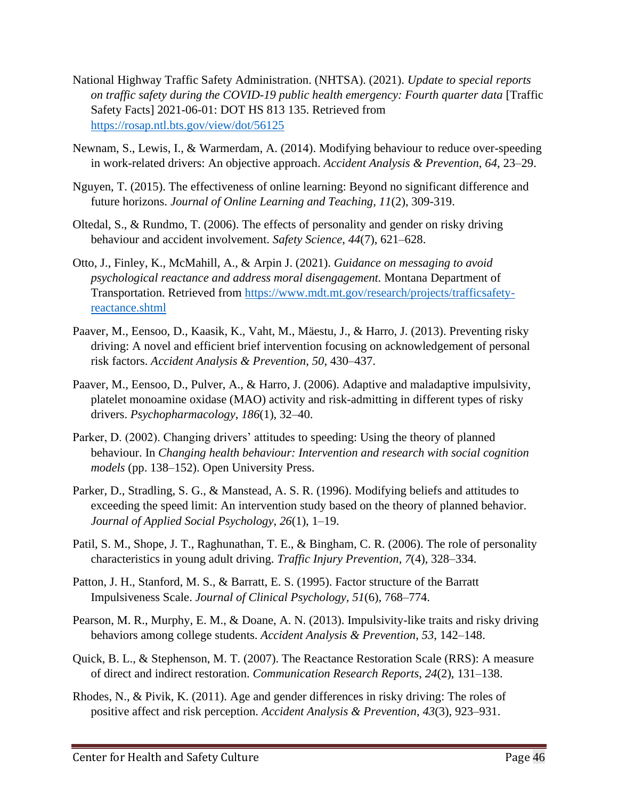- National Highway Traffic Safety Administration. (NHTSA). (2021). *Update to special reports on traffic safety during the COVID-19 public health emergency: Fourth quarter data* [Traffic Safety Facts] 2021-06-01: DOT HS 813 135. Retrieved from <https://rosap.ntl.bts.gov/view/dot/56125>
- Newnam, S., Lewis, I., & Warmerdam, A. (2014). Modifying behaviour to reduce over-speeding in work-related drivers: An objective approach. *Accident Analysis & Prevention*, *64*, 23–29.
- Nguyen, T. (2015). The effectiveness of online learning: Beyond no significant difference and future horizons. *Journal of Online Learning and Teaching, 11*(2), 309-319.
- Oltedal, S., & Rundmo, T. (2006). The effects of personality and gender on risky driving behaviour and accident involvement. *Safety Science*, *44*(7), 621–628.
- Otto, J., Finley, K., McMahill, A., & Arpin J. (2021). *Guidance on messaging to avoid psychological reactance and address moral disengagement.* Montana Department of Transportation. Retrieved from [https://www.mdt.mt.gov/research/projects/trafficsafety](https://www.mdt.mt.gov/research/projects/trafficsafety-reactance.shtml)[reactance.shtml](https://www.mdt.mt.gov/research/projects/trafficsafety-reactance.shtml)
- Paaver, M., Eensoo, D., Kaasik, K., Vaht, M., Mäestu, J., & Harro, J. (2013). Preventing risky driving: A novel and efficient brief intervention focusing on acknowledgement of personal risk factors. *Accident Analysis & Prevention*, *50*, 430–437.
- Paaver, M., Eensoo, D., Pulver, A., & Harro, J. (2006). Adaptive and maladaptive impulsivity, platelet monoamine oxidase (MAO) activity and risk-admitting in different types of risky drivers. *Psychopharmacology*, *186*(1), 32–40.
- Parker, D. (2002). Changing drivers' attitudes to speeding: Using the theory of planned behaviour. In *Changing health behaviour: Intervention and research with social cognition models* (pp. 138–152). Open University Press.
- Parker, D., Stradling, S. G., & Manstead, A. S. R. (1996). Modifying beliefs and attitudes to exceeding the speed limit: An intervention study based on the theory of planned behavior. *Journal of Applied Social Psychology*, *26*(1), 1–19.
- Patil, S. M., Shope, J. T., Raghunathan, T. E., & Bingham, C. R. (2006). The role of personality characteristics in young adult driving. *Traffic Injury Prevention*, *7*(4), 328–334.
- Patton, J. H., Stanford, M. S., & Barratt, E. S. (1995). Factor structure of the Barratt Impulsiveness Scale. *Journal of Clinical Psychology, 51*(6), 768–774.
- Pearson, M. R., Murphy, E. M., & Doane, A. N. (2013). Impulsivity-like traits and risky driving behaviors among college students. *Accident Analysis & Prevention*, *53*, 142–148.
- Quick, B. L., & Stephenson, M. T. (2007). The Reactance Restoration Scale (RRS): A measure of direct and indirect restoration. *Communication Research Reports*, *24*(2), 131–138.
- Rhodes, N., & Pivik, K. (2011). Age and gender differences in risky driving: The roles of positive affect and risk perception. *Accident Analysis & Prevention*, *43*(3), 923–931.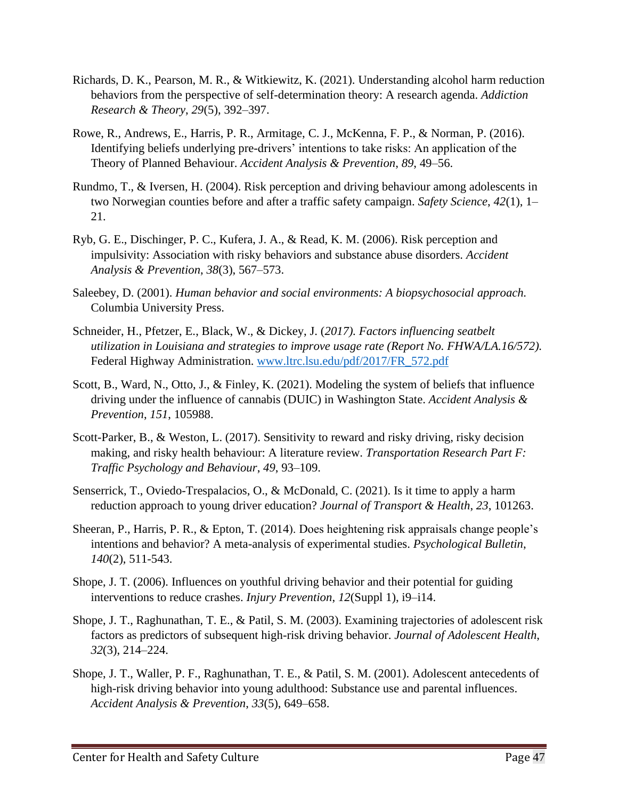- Richards, D. K., Pearson, M. R., & Witkiewitz, K. (2021). Understanding alcohol harm reduction behaviors from the perspective of self-determination theory: A research agenda. *Addiction Research & Theory*, *29*(5), 392–397.
- Rowe, R., Andrews, E., Harris, P. R., Armitage, C. J., McKenna, F. P., & Norman, P. (2016). Identifying beliefs underlying pre-drivers' intentions to take risks: An application of the Theory of Planned Behaviour. *Accident Analysis & Prevention*, *89*, 49–56.
- Rundmo, T., & Iversen, H. (2004). Risk perception and driving behaviour among adolescents in two Norwegian counties before and after a traffic safety campaign. *Safety Science*, *42*(1), 1– 21.
- Ryb, G. E., Dischinger, P. C., Kufera, J. A., & Read, K. M. (2006). Risk perception and impulsivity: Association with risky behaviors and substance abuse disorders. *Accident Analysis & Prevention*, *38*(3), 567–573.
- Saleebey, D. (2001). *Human behavior and social environments: A biopsychosocial approach.* Columbia University Press.
- Schneider, H., Pfetzer, E., Black, W., & Dickey, J. (*2017). Factors influencing seatbelt utilization in Louisiana and strategies to improve usage rate (Report No. FHWA/LA.16/572).* Federal Highway Administration. [www.ltrc.lsu.edu/pdf/2017/FR\\_572.pdf](http://www.ltrc.lsu.edu/pdf/2017/FR_572.pdf)
- Scott, B., Ward, N., Otto, J., & Finley, K. (2021). Modeling the system of beliefs that influence driving under the influence of cannabis (DUIC) in Washington State. *Accident Analysis & Prevention*, *151*, 105988.
- Scott-Parker, B., & Weston, L. (2017). Sensitivity to reward and risky driving, risky decision making, and risky health behaviour: A literature review. *Transportation Research Part F: Traffic Psychology and Behaviour*, *49*, 93–109.
- Senserrick, T., Oviedo-Trespalacios, O., & McDonald, C. (2021). Is it time to apply a harm reduction approach to young driver education? *Journal of Transport & Health*, *23*, 101263.
- Sheeran, P., Harris, P. R., & Epton, T. (2014). Does heightening risk appraisals change people's intentions and behavior? A meta-analysis of experimental studies. *Psychological Bulletin*, *140*(2), 511-543.
- Shope, J. T. (2006). Influences on youthful driving behavior and their potential for guiding interventions to reduce crashes. *Injury Prevention*, *12*(Suppl 1), i9–i14.
- Shope, J. T., Raghunathan, T. E., & Patil, S. M. (2003). Examining trajectories of adolescent risk factors as predictors of subsequent high-risk driving behavior. *Journal of Adolescent Health*, *32*(3), 214–224.
- Shope, J. T., Waller, P. F., Raghunathan, T. E., & Patil, S. M. (2001). Adolescent antecedents of high-risk driving behavior into young adulthood: Substance use and parental influences. *Accident Analysis & Prevention*, *33*(5), 649–658.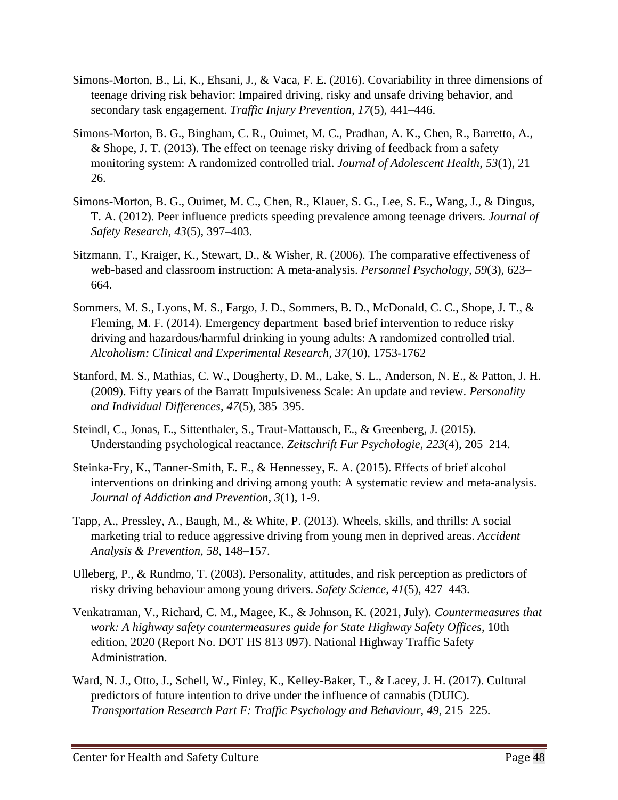- Simons-Morton, B., Li, K., Ehsani, J., & Vaca, F. E. (2016). Covariability in three dimensions of teenage driving risk behavior: Impaired driving, risky and unsafe driving behavior, and secondary task engagement. *Traffic Injury Prevention*, *17*(5), 441–446.
- Simons-Morton, B. G., Bingham, C. R., Ouimet, M. C., Pradhan, A. K., Chen, R., Barretto, A., & Shope, J. T. (2013). The effect on teenage risky driving of feedback from a safety monitoring system: A randomized controlled trial. *Journal of Adolescent Health*, *53*(1), 21– 26.
- Simons-Morton, B. G., Ouimet, M. C., Chen, R., Klauer, S. G., Lee, S. E., Wang, J., & Dingus, T. A. (2012). Peer influence predicts speeding prevalence among teenage drivers. *Journal of Safety Research*, *43*(5), 397–403.
- Sitzmann, T., Kraiger, K., Stewart, D., & Wisher, R. (2006). The comparative effectiveness of web-based and classroom instruction: A meta-analysis. *Personnel Psychology, 59*(3), 623– 664.
- Sommers, M. S., Lyons, M. S., Fargo, J. D., Sommers, B. D., McDonald, C. C., Shope, J. T., & Fleming, M. F. (2014). Emergency department–based brief intervention to reduce risky driving and hazardous/harmful drinking in young adults: A randomized controlled trial. *Alcoholism: Clinical and Experimental Research, 37*(10), 1753-1762
- Stanford, M. S., Mathias, C. W., Dougherty, D. M., Lake, S. L., Anderson, N. E., & Patton, J. H. (2009). Fifty years of the Barratt Impulsiveness Scale: An update and review. *Personality and Individual Differences*, *47*(5), 385–395.
- Steindl, C., Jonas, E., Sittenthaler, S., Traut-Mattausch, E., & Greenberg, J. (2015). Understanding psychological reactance. *Zeitschrift Fur Psychologie*, *223*(4), 205–214.
- Steinka-Fry, K., Tanner-Smith, E. E., & Hennessey, E. A. (2015). Effects of brief alcohol interventions on drinking and driving among youth: A systematic review and meta-analysis. *Journal of Addiction and Prevention, 3*(1), 1-9.
- Tapp, A., Pressley, A., Baugh, M., & White, P. (2013). Wheels, skills, and thrills: A social marketing trial to reduce aggressive driving from young men in deprived areas. *Accident Analysis & Prevention*, *58*, 148–157.
- Ulleberg, P., & Rundmo, T. (2003). Personality, attitudes, and risk perception as predictors of risky driving behaviour among young drivers. *Safety Science*, *41*(5), 427–443.
- Venkatraman, V., Richard, C. M., Magee, K., & Johnson, K. (2021, July). *Countermeasures that work: A highway safety countermeasures guide for State Highway Safety Offices*, 10th edition, 2020 (Report No. DOT HS 813 097). National Highway Traffic Safety Administration.
- Ward, N. J., Otto, J., Schell, W., Finley, K., Kelley-Baker, T., & Lacey, J. H. (2017). Cultural predictors of future intention to drive under the influence of cannabis (DUIC). *Transportation Research Part F: Traffic Psychology and Behaviour*, *49*, 215–225.